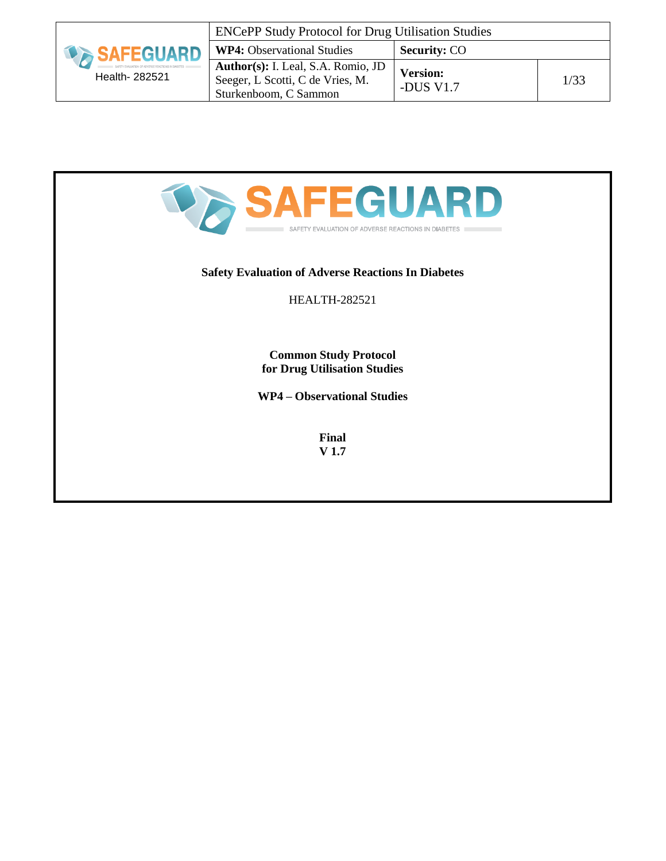| <b><i>SAFEGUARD</i></b> | <b>ENCePP Study Protocol for Drug Utilisation Studies</b>                                       |                              |      |
|-------------------------|-------------------------------------------------------------------------------------------------|------------------------------|------|
|                         | <b>WP4:</b> Observational Studies                                                               | <b>Security: CO</b>          |      |
| Health- 282521          | Author(s): I. Leal, S.A. Romio, JD<br>Seeger, L Scotti, C de Vries, M.<br>Sturkenboom, C Sammon | <b>Version:</b><br>-DUS V1.7 | 1/33 |



### **Safety Evaluation of Adverse Reactions In Diabetes**

#### HEALTH-282521

**Common Study Protocol for Drug Utilisation Studies**

**WP4 – Observational Studies**

**Final V 1.7**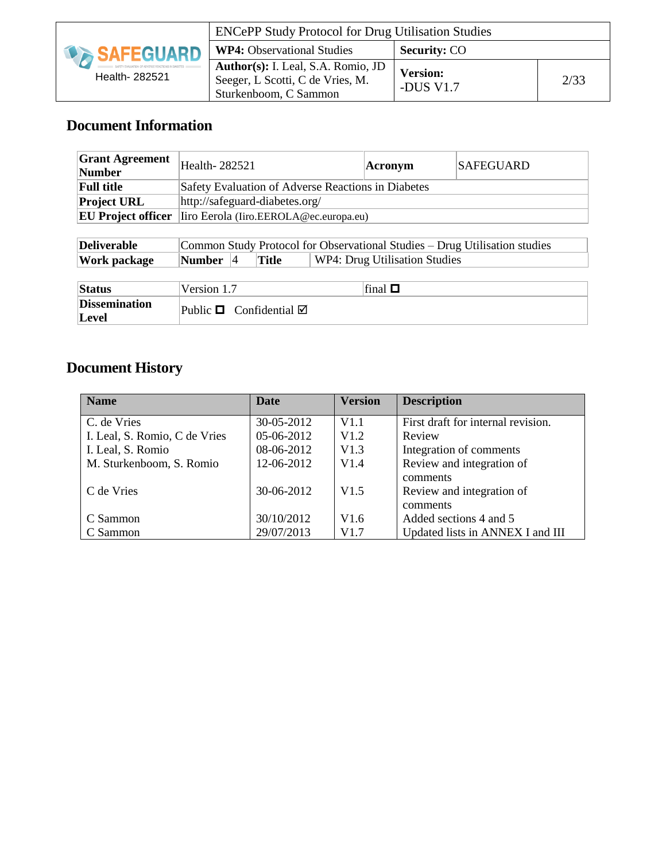|                     | <b>ENCePP Study Protocol for Drug Utilisation Studies</b>                                       |                              |      |
|---------------------|-------------------------------------------------------------------------------------------------|------------------------------|------|
| <b>DA SAFEGUARD</b> | <b>WP4:</b> Observational Studies                                                               | <b>Security: CO</b>          |      |
| Health- 282521      | Author(s): I. Leal, S.A. Romio, JD<br>Seeger, L Scotti, C de Vries, M.<br>Sturkenboom, C Sammon | <b>Version:</b><br>-DUS V1.7 | 2/33 |

# **Document Information**

| <b>Grant Agreement</b><br><b>Number</b> | Health-282521 |           |                                   |                                        | Acronym                                            | <b>SAFEGUARD</b>                                                           |
|-----------------------------------------|---------------|-----------|-----------------------------------|----------------------------------------|----------------------------------------------------|----------------------------------------------------------------------------|
| <b>Full title</b>                       |               |           |                                   |                                        | Safety Evaluation of Adverse Reactions in Diabetes |                                                                            |
| <b>Project URL</b>                      |               |           | http://safeguard-diabetes.org/    |                                        |                                                    |                                                                            |
| <b>EU Project officer</b>               |               |           |                                   | liro Eerola (Iiro.EEROLA@ec.europa.eu) |                                                    |                                                                            |
|                                         |               |           |                                   |                                        |                                                    |                                                                            |
| <b>Deliverable</b>                      |               |           |                                   |                                        |                                                    | Common Study Protocol for Observational Studies – Drug Utilisation studies |
| Work package                            | <b>Number</b> | $\vert 4$ | Title                             |                                        | WP4: Drug Utilisation Studies                      |                                                                            |
|                                         |               |           |                                   |                                        |                                                    |                                                                            |
| <b>Status</b>                           | Version 1.7   |           |                                   |                                        | final $\Box$                                       |                                                                            |
| <b>Dissemination</b><br>Level           |               |           | Public $\Box$ Confidential $\Box$ |                                        |                                                    |                                                                            |

# **Document History**

| <b>Name</b>                   | <b>Date</b> | <b>Version</b> | <b>Description</b>                 |
|-------------------------------|-------------|----------------|------------------------------------|
| C. de Vries                   | 30-05-2012  | V1.1           | First draft for internal revision. |
| I. Leal, S. Romio, C de Vries | 05-06-2012  | V1.2           | Review                             |
| I. Leal, S. Romio             | 08-06-2012  | V1.3           | Integration of comments            |
| M. Sturkenboom, S. Romio      | 12-06-2012  | V1.4           | Review and integration of          |
|                               |             |                | comments                           |
| C de Vries                    | 30-06-2012  | V1.5           | Review and integration of          |
|                               |             |                | comments                           |
| C Sammon                      | 30/10/2012  | V1.6           | Added sections 4 and 5             |
| C Sammon                      | 29/07/2013  | V1.7           | Updated lists in ANNEX I and III   |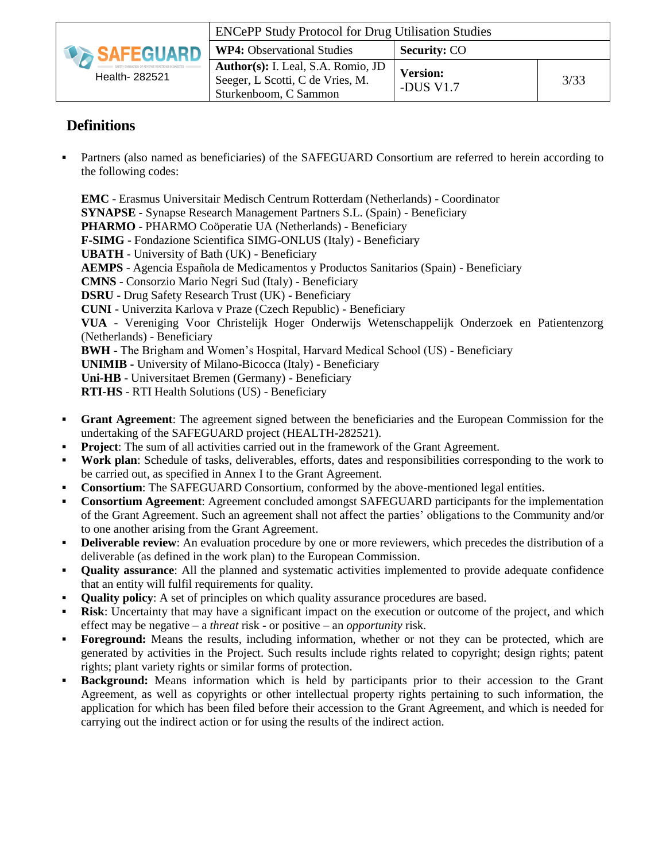|                     | <b>ENCePP Study Protocol for Drug Utilisation Studies</b>                                       |                              |      |
|---------------------|-------------------------------------------------------------------------------------------------|------------------------------|------|
| <b>DA SAFEGUARD</b> | <b>WP4:</b> Observational Studies                                                               | <b>Security: CO</b>          |      |
| Health- 282521      | Author(s): I. Leal, S.A. Romio, JD<br>Seeger, L Scotti, C de Vries, M.<br>Sturkenboom, C Sammon | <b>Version:</b><br>-DUS V1.7 | 3/33 |

# **Definitions**

 Partners (also named as beneficiaries) of the SAFEGUARD Consortium are referred to herein according to the following codes:

**EMC** - Erasmus Universitair Medisch Centrum Rotterdam (Netherlands) - Coordinator **SYNAPSE -** Synapse Research Management Partners S.L. (Spain) - Beneficiary **PHARMO** - PHARMO Coöperatie UA (Netherlands) - Beneficiary **F-SIMG** - Fondazione Scientifica SIMG-ONLUS (Italy) - Beneficiary **UBATH** - University of Bath (UK) - Beneficiary **AEMPS** - Agencia Española de Medicamentos y Productos Sanitarios (Spain) - Beneficiary **CMNS** - Consorzio Mario Negri Sud (Italy) - Beneficiary **DSRU** - Drug Safety Research Trust (UK) - Beneficiary **CUNI** - Univerzita Karlova v Praze (Czech Republic) - Beneficiary **VUA** - Vereniging Voor Christelijk Hoger Onderwijs Wetenschappelijk Onderzoek en Patientenzorg (Netherlands) - Beneficiary **BWH -** The Brigham and Women's Hospital, Harvard Medical School (US) - Beneficiary **UNIMIB -** University of Milano-Bicocca (Italy) - Beneficiary **Uni-HB** - Universitaet Bremen (Germany) - Beneficiary **RTI-HS** - RTI Health Solutions (US) - Beneficiary

- **Grant Agreement**: The agreement signed between the beneficiaries and the European Commission for the undertaking of the SAFEGUARD project (HEALTH-282521).
- **Project:** The sum of all activities carried out in the framework of the Grant Agreement.
- **Work plan**: Schedule of tasks, deliverables, efforts, dates and responsibilities corresponding to the work to be carried out, as specified in Annex I to the Grant Agreement.
- **Consortium**: The SAFEGUARD Consortium, conformed by the above-mentioned legal entities.
- **Consortium Agreement**: Agreement concluded amongst SAFEGUARD participants for the implementation of the Grant Agreement. Such an agreement shall not affect the parties' obligations to the Community and/or to one another arising from the Grant Agreement.
- **Deliverable review**: An evaluation procedure by one or more reviewers, which precedes the distribution of a deliverable (as defined in the work plan) to the European Commission.
- **•** Quality assurance: All the planned and systematic activities implemented to provide adequate confidence that an entity will fulfil requirements for quality.
- **Quality policy:** A set of principles on which quality assurance procedures are based.
- **Risk**: Uncertainty that may have a significant impact on the execution or outcome of the project, and which effect may be negative – a *threat* risk - or positive – an *opportunity* risk.
- **Foreground:** Means the results, including information, whether or not they can be protected, which are generated by activities in the Project. Such results include rights related to copyright; design rights; patent rights; plant variety rights or similar forms of protection.
- **Background:** Means information which is held by participants prior to their accession to the Grant Agreement, as well as copyrights or other intellectual property rights pertaining to such information, the application for which has been filed before their accession to the Grant Agreement, and which is needed for carrying out the indirect action or for using the results of the indirect action.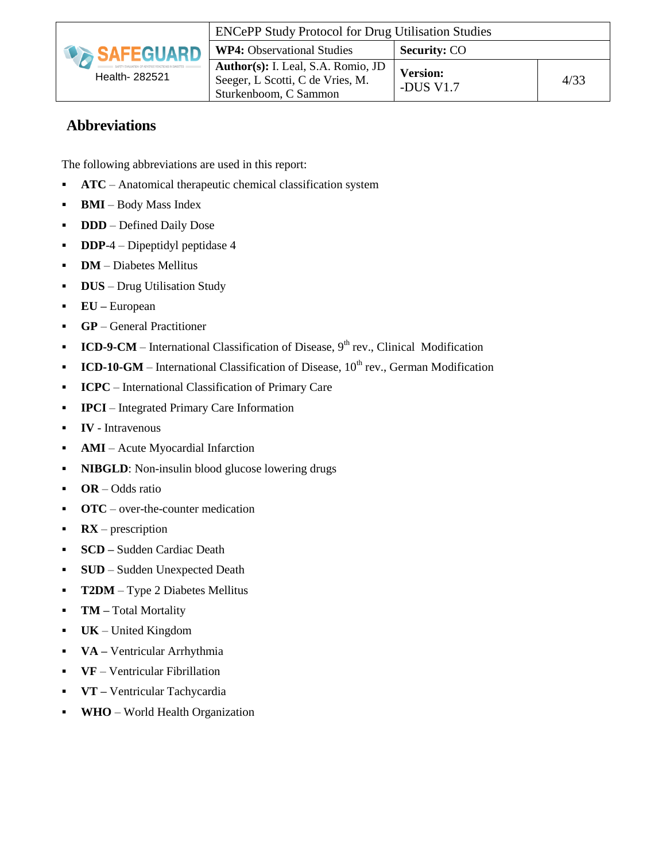

## **Abbreviations**

The following abbreviations are used in this report:

- **ATC** Anatomical therapeutic chemical classification system
- **BMI** Body Mass Index
- **DDD** Defined Daily Dose
- **DDP**-4 Dipeptidyl peptidase 4
- **DM** Diabetes Mellitus
- **-** DUS Drug Utilisation Study
- **EU –** European
- **GP** General Practitioner
- **ICD-9-CM** International Classification of Disease,  $9<sup>th</sup>$  rev., Clinical Modification
- **ICD-10-GM** International Classification of Disease, 10<sup>th</sup> rev., German Modification
- **ICPC** International Classification of Primary Care
- **IPCI** Integrated Primary Care Information
- **IV**  Intravenous
- **AMI** Acute Myocardial Infarction
- **NIBGLD:** Non-insulin blood glucose lowering drugs
- **OR** Odds ratio
- **OTC** over-the-counter medication
- **RX** prescription
- **SCD** Sudden Cardiac Death
- **SUD** Sudden Unexpected Death
- **T2DM** Type 2 Diabetes Mellitus
- **TM** Total Mortality
- **UK**  United Kingdom
- **VA –** Ventricular Arrhythmia
- **VF**  Ventricular Fibrillation
- **VT –** Ventricular Tachycardia
- **WHO**  World Health Organization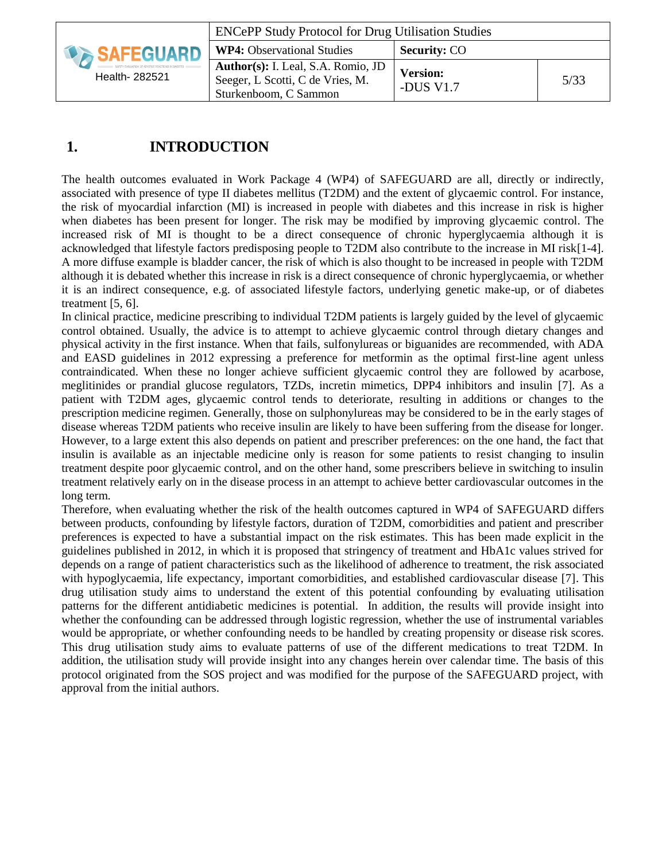|                     | <b>ENCePP Study Protocol for Drug Utilisation Studies</b>                                       |                              |      |
|---------------------|-------------------------------------------------------------------------------------------------|------------------------------|------|
| <b>IN SAFEGUARD</b> | <b>WP4:</b> Observational Studies                                                               | <b>Security: CO</b>          |      |
| Health- 282521      | Author(s): I. Leal, S.A. Romio, JD<br>Seeger, L Scotti, C de Vries, M.<br>Sturkenboom, C Sammon | <b>Version:</b><br>-DUS V1.7 | 5/33 |

# **1. INTRODUCTION**

The health outcomes evaluated in Work Package 4 (WP4) of SAFEGUARD are all, directly or indirectly, associated with presence of type II diabetes mellitus (T2DM) and the extent of glycaemic control. For instance, the risk of myocardial infarction (MI) is increased in people with diabetes and this increase in risk is higher when diabetes has been present for longer. The risk may be modified by improving glycaemic control. The increased risk of MI is thought to be a direct consequence of chronic hyperglycaemia although it is acknowledged that lifestyle factors predisposing people to T2DM also contribute to the increase in MI risk[1-4]. A more diffuse example is bladder cancer, the risk of which is also thought to be increased in people with T2DM although it is debated whether this increase in risk is a direct consequence of chronic hyperglycaemia, or whether it is an indirect consequence, e.g. of associated lifestyle factors, underlying genetic make-up, or of diabetes treatment [5, 6].

In clinical practice, medicine prescribing to individual T2DM patients is largely guided by the level of glycaemic control obtained. Usually, the advice is to attempt to achieve glycaemic control through dietary changes and physical activity in the first instance. When that fails, sulfonylureas or biguanides are recommended, with ADA and EASD guidelines in 2012 expressing a preference for metformin as the optimal first-line agent unless contraindicated. When these no longer achieve sufficient glycaemic control they are followed by acarbose, meglitinides or prandial glucose regulators, TZDs, incretin mimetics, DPP4 inhibitors and insulin [7]. As a patient with T2DM ages, glycaemic control tends to deteriorate, resulting in additions or changes to the prescription medicine regimen. Generally, those on sulphonylureas may be considered to be in the early stages of disease whereas T2DM patients who receive insulin are likely to have been suffering from the disease for longer. However, to a large extent this also depends on patient and prescriber preferences: on the one hand, the fact that insulin is available as an injectable medicine only is reason for some patients to resist changing to insulin treatment despite poor glycaemic control, and on the other hand, some prescribers believe in switching to insulin treatment relatively early on in the disease process in an attempt to achieve better cardiovascular outcomes in the long term.

Therefore, when evaluating whether the risk of the health outcomes captured in WP4 of SAFEGUARD differs between products, confounding by lifestyle factors, duration of T2DM, comorbidities and patient and prescriber preferences is expected to have a substantial impact on the risk estimates. This has been made explicit in the guidelines published in 2012, in which it is proposed that stringency of treatment and HbA1c values strived for depends on a range of patient characteristics such as the likelihood of adherence to treatment, the risk associated with hypoglycaemia, life expectancy, important comorbidities, and established cardiovascular disease [7]. This drug utilisation study aims to understand the extent of this potential confounding by evaluating utilisation patterns for the different antidiabetic medicines is potential. In addition, the results will provide insight into whether the confounding can be addressed through logistic regression, whether the use of instrumental variables would be appropriate, or whether confounding needs to be handled by creating propensity or disease risk scores. This drug utilisation study aims to evaluate patterns of use of the different medications to treat T2DM. In addition, the utilisation study will provide insight into any changes herein over calendar time. The basis of this protocol originated from the SOS project and was modified for the purpose of the SAFEGUARD project, with approval from the initial authors.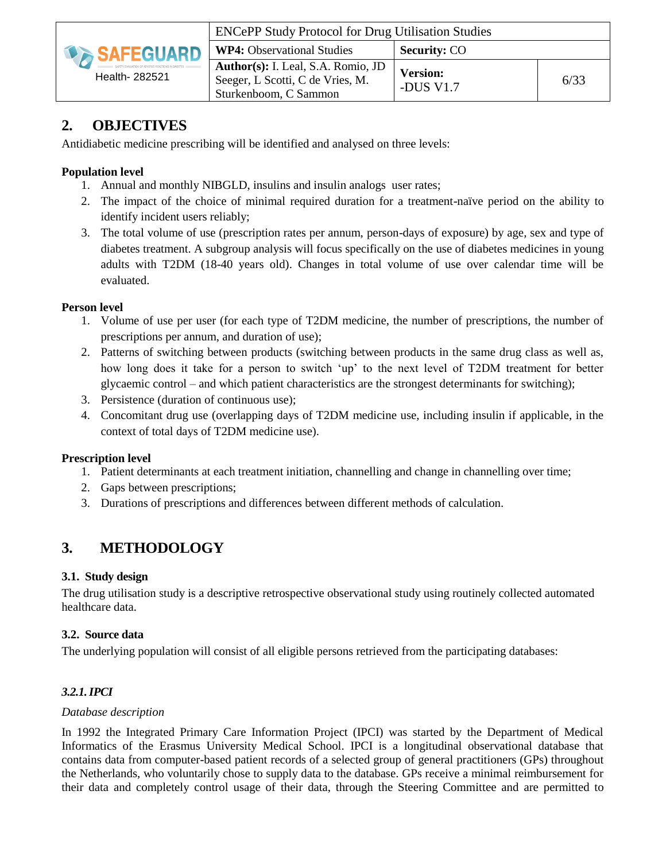

| <b>ENCePP Study Protocol for Drug Utilisation Studies</b>                                              |                                |      |  |  |
|--------------------------------------------------------------------------------------------------------|--------------------------------|------|--|--|
| <b>WP4:</b> Observational Studies                                                                      | <b>Security: CO</b>            |      |  |  |
| <b>Author(s):</b> I. Leal, S.A. Romio, JD<br>Seeger, L Scotti, C de Vries, M.<br>Sturkenboom, C Sammon | <b>Version:</b><br>-DUS $V1.7$ | 6/33 |  |  |

# **2. OBJECTIVES**

Antidiabetic medicine prescribing will be identified and analysed on three levels:

### **Population level**

- 1. Annual and monthly NIBGLD, insulins and insulin analogs user rates;
- 2. The impact of the choice of minimal required duration for a treatment-naïve period on the ability to identify incident users reliably;
- 3. The total volume of use (prescription rates per annum, person-days of exposure) by age, sex and type of diabetes treatment. A subgroup analysis will focus specifically on the use of diabetes medicines in young adults with T2DM (18-40 years old). Changes in total volume of use over calendar time will be evaluated.

#### **Person level**

- 1. Volume of use per user (for each type of T2DM medicine, the number of prescriptions, the number of prescriptions per annum, and duration of use);
- 2. Patterns of switching between products (switching between products in the same drug class as well as, how long does it take for a person to switch 'up' to the next level of T2DM treatment for better glycaemic control – and which patient characteristics are the strongest determinants for switching);
- 3. Persistence (duration of continuous use);
- 4. Concomitant drug use (overlapping days of T2DM medicine use, including insulin if applicable, in the context of total days of T2DM medicine use).

#### **Prescription level**

- 1. Patient determinants at each treatment initiation, channelling and change in channelling over time;
- 2. Gaps between prescriptions;
- 3. Durations of prescriptions and differences between different methods of calculation.

# **3. METHODOLOGY**

#### **3.1. Study design**

The drug utilisation study is a descriptive retrospective observational study using routinely collected automated healthcare data.

#### **3.2. Source data**

The underlying population will consist of all eligible persons retrieved from the participating databases:

### *3.2.1.IPCI*

#### *Database description*

In 1992 the Integrated Primary Care Information Project (IPCI) was started by the Department of Medical Informatics of the Erasmus University Medical School. IPCI is a longitudinal observational database that contains data from computer-based patient records of a selected group of general practitioners (GPs) throughout the Netherlands, who voluntarily chose to supply data to the database. GPs receive a minimal reimbursement for their data and completely control usage of their data, through the Steering Committee and are permitted to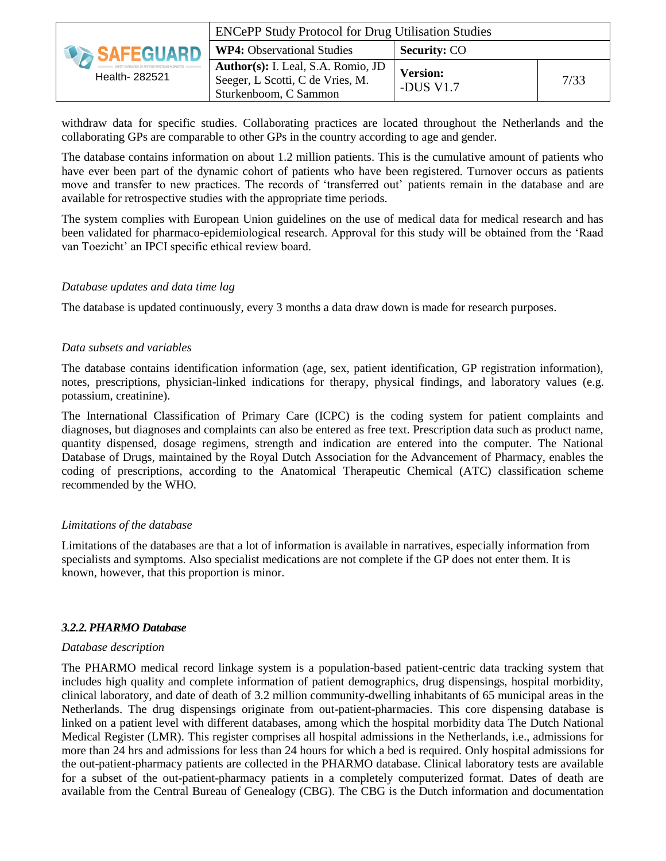|                          | <b>ENCePP Study Protocol for Drug Utilisation Studies</b>                                       |                              |      |
|--------------------------|-------------------------------------------------------------------------------------------------|------------------------------|------|
| <b>EXAMPLE SAFEGUARD</b> | <b>WP4:</b> Observational Studies                                                               | <b>Security: CO</b>          |      |
| Health- 282521           | Author(s): I. Leal, S.A. Romio, JD<br>Seeger, L Scotti, C de Vries, M.<br>Sturkenboom, C Sammon | <b>Version:</b><br>-DUS V1.7 | 7/33 |

withdraw data for specific studies. Collaborating practices are located throughout the Netherlands and the collaborating GPs are comparable to other GPs in the country according to age and gender.

The database contains information on about 1.2 million patients. This is the cumulative amount of patients who have ever been part of the dynamic cohort of patients who have been registered. Turnover occurs as patients move and transfer to new practices. The records of 'transferred out' patients remain in the database and are available for retrospective studies with the appropriate time periods.

The system complies with European Union guidelines on the use of medical data for medical research and has been validated for pharmaco-epidemiological research. Approval for this study will be obtained from the 'Raad van Toezicht' an IPCI specific ethical review board.

#### *Database updates and data time lag*

The database is updated continuously, every 3 months a data draw down is made for research purposes.

#### *Data subsets and variables*

The database contains identification information (age, sex, patient identification, GP registration information), notes, prescriptions, physician-linked indications for therapy, physical findings, and laboratory values (e.g. potassium, creatinine).

The International Classification of Primary Care (ICPC) is the coding system for patient complaints and diagnoses, but diagnoses and complaints can also be entered as free text. Prescription data such as product name, quantity dispensed, dosage regimens, strength and indication are entered into the computer. The National Database of Drugs, maintained by the Royal Dutch Association for the Advancement of Pharmacy, enables the coding of prescriptions, according to the Anatomical Therapeutic Chemical (ATC) classification scheme recommended by the WHO.

#### *Limitations of the database*

Limitations of the databases are that a lot of information is available in narratives, especially information from specialists and symptoms. Also specialist medications are not complete if the GP does not enter them. It is known, however, that this proportion is minor.

#### *3.2.2.PHARMO Database*

#### *Database description*

The PHARMO medical record linkage system is a population-based patient-centric data tracking system that includes high quality and complete information of patient demographics, drug dispensings, hospital morbidity, clinical laboratory, and date of death of 3.2 million community-dwelling inhabitants of 65 municipal areas in the Netherlands. The drug dispensings originate from out-patient-pharmacies. This core dispensing database is linked on a patient level with different databases, among which the hospital morbidity data The Dutch National Medical Register (LMR). This register comprises all hospital admissions in the Netherlands, i.e., admissions for more than 24 hrs and admissions for less than 24 hours for which a bed is required. Only hospital admissions for the out-patient-pharmacy patients are collected in the PHARMO database. Clinical laboratory tests are available for a subset of the out-patient-pharmacy patients in a completely computerized format. Dates of death are available from the Central Bureau of Genealogy (CBG). The CBG is the Dutch information and documentation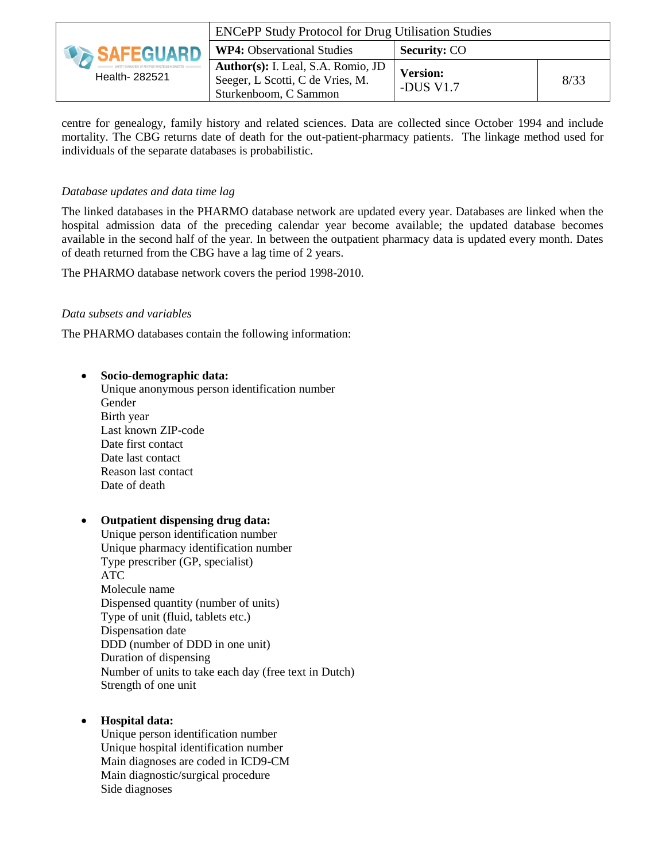|                     | <b>ENCePP Study Protocol for Drug Utilisation Studies</b>                                       |                              |      |
|---------------------|-------------------------------------------------------------------------------------------------|------------------------------|------|
| <b>DA SAFEGUARD</b> | <b>WP4:</b> Observational Studies                                                               | <b>Security: CO</b>          |      |
| Health- 282521      | Author(s): I. Leal, S.A. Romio, JD<br>Seeger, L Scotti, C de Vries, M.<br>Sturkenboom, C Sammon | <b>Version:</b><br>-DUS V1.7 | 8/33 |

centre for genealogy, family history and related sciences. Data are collected since October 1994 and include mortality. The CBG returns date of death for the out-patient-pharmacy patients. The linkage method used for individuals of the separate databases is probabilistic.

#### *Database updates and data time lag*

The linked databases in the PHARMO database network are updated every year. Databases are linked when the hospital admission data of the preceding calendar year become available; the updated database becomes available in the second half of the year. In between the outpatient pharmacy data is updated every month. Dates of death returned from the CBG have a lag time of 2 years.

The PHARMO database network covers the period 1998-2010.

#### *Data subsets and variables*

The PHARMO databases contain the following information:

#### **Socio-demographic data:**

Unique anonymous person identification number Gender Birth year Last known ZIP-code Date first contact Date last contact Reason last contact Date of death

#### **Outpatient dispensing drug data:**

Unique person identification number Unique pharmacy identification number Type prescriber (GP, specialist) ATC Molecule name Dispensed quantity (number of units) Type of unit (fluid, tablets etc.) Dispensation date DDD (number of DDD in one unit) Duration of dispensing Number of units to take each day (free text in Dutch) Strength of one unit

#### **Hospital data:**

Unique person identification number Unique hospital identification number Main diagnoses are coded in ICD9-CM Main diagnostic/surgical procedure Side diagnoses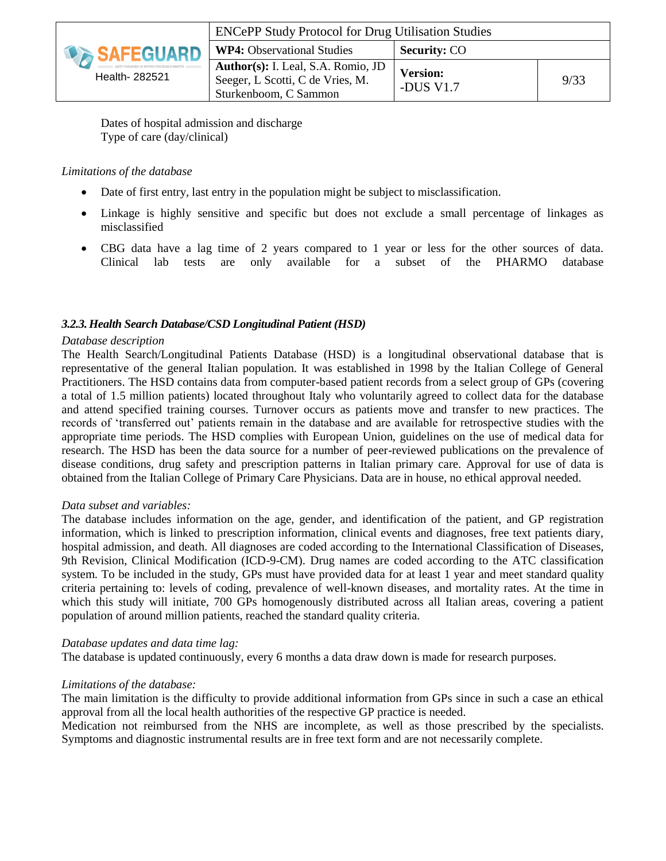|                     | <b>ENCePP Study Protocol for Drug Utilisation Studies</b>                                       |                              |      |
|---------------------|-------------------------------------------------------------------------------------------------|------------------------------|------|
| <b>DA SAFEGUARD</b> | <b>WP4:</b> Observational Studies                                                               | <b>Security: CO</b>          |      |
| Health- 282521      | Author(s): I. Leal, S.A. Romio, JD<br>Seeger, L Scotti, C de Vries, M.<br>Sturkenboom, C Sammon | <b>Version:</b><br>-DUS V1.7 | 9/33 |

Dates of hospital admission and discharge Type of care (day/clinical)

#### *Limitations of the database*

- Date of first entry, last entry in the population might be subject to misclassification.
- Linkage is highly sensitive and specific but does not exclude a small percentage of linkages as misclassified
- CBG data have a lag time of 2 years compared to 1 year or less for the other sources of data. Clinical lab tests are only available for a subset of the PHARMO database

#### *3.2.3.Health Search Database/CSD Longitudinal Patient (HSD)*

#### *Database description*

The Health Search/Longitudinal Patients Database (HSD) is a longitudinal observational database that is representative of the general Italian population. It was established in 1998 by the Italian College of General Practitioners. The HSD contains data from computer-based patient records from a select group of GPs (covering a total of 1.5 million patients) located throughout Italy who voluntarily agreed to collect data for the database and attend specified training courses. Turnover occurs as patients move and transfer to new practices. The records of 'transferred out' patients remain in the database and are available for retrospective studies with the appropriate time periods. The HSD complies with European Union, guidelines on the use of medical data for research. The HSD has been the data source for a number of peer-reviewed publications on the prevalence of disease conditions, drug safety and prescription patterns in Italian primary care. Approval for use of data is obtained from the Italian College of Primary Care Physicians. Data are in house, no ethical approval needed.

#### *Data subset and variables:*

The database includes information on the age, gender, and identification of the patient, and GP registration information, which is linked to prescription information, clinical events and diagnoses, free text patients diary, hospital admission, and death. All diagnoses are coded according to the International Classification of Diseases, 9th Revision, Clinical Modification (ICD-9-CM). Drug names are coded according to the ATC classification system. To be included in the study, GPs must have provided data for at least 1 year and meet standard quality criteria pertaining to: levels of coding, prevalence of well-known diseases, and mortality rates. At the time in which this study will initiate, 700 GPs homogenously distributed across all Italian areas, covering a patient population of around million patients, reached the standard quality criteria.

#### *Database updates and data time lag:*

The database is updated continuously, every 6 months a data draw down is made for research purposes.

#### *Limitations of the database:*

The main limitation is the difficulty to provide additional information from GPs since in such a case an ethical approval from all the local health authorities of the respective GP practice is needed.

Medication not reimbursed from the NHS are incomplete, as well as those prescribed by the specialists. Symptoms and diagnostic instrumental results are in free text form and are not necessarily complete.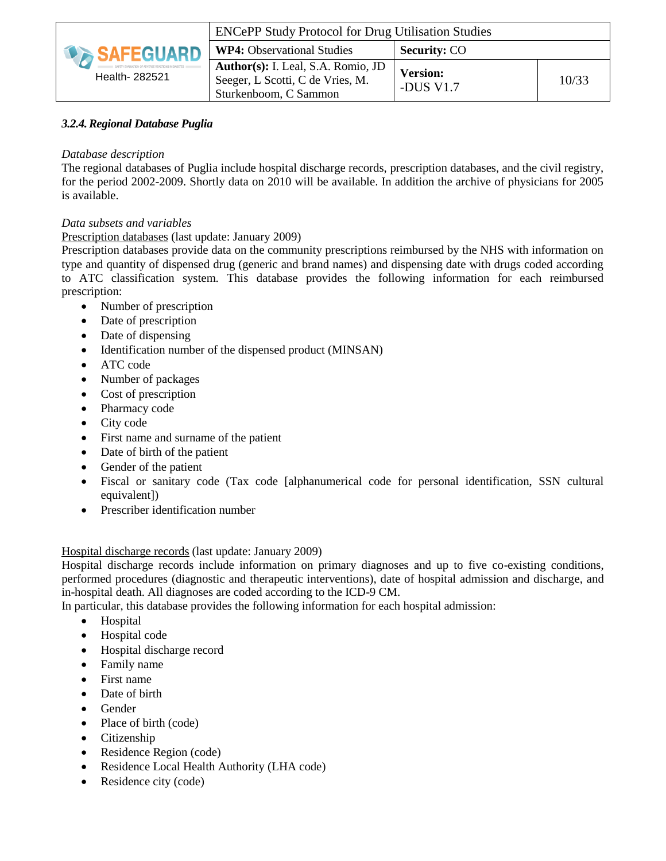|                  | <b>ENCePP Study Protocol for Drug Utilisation Studies</b>                                       |                              |       |
|------------------|-------------------------------------------------------------------------------------------------|------------------------------|-------|
| <b>SAFEGUARD</b> | <b>WP4:</b> Observational Studies                                                               | <b>Security: CO</b>          |       |
| Health- 282521   | Author(s): I. Leal, S.A. Romio, JD<br>Seeger, L Scotti, C de Vries, M.<br>Sturkenboom, C Sammon | <b>Version:</b><br>-DUS V1.7 | 10/33 |

### *3.2.4.Regional Database Puglia*

#### *Database description*

The regional databases of Puglia include hospital discharge records, prescription databases, and the civil registry, for the period 2002-2009. Shortly data on 2010 will be available. In addition the archive of physicians for 2005 is available.

#### *Data subsets and variables*

Prescription databases (last update: January 2009)

Prescription databases provide data on the community prescriptions reimbursed by the NHS with information on type and quantity of dispensed drug (generic and brand names) and dispensing date with drugs coded according to ATC classification system. This database provides the following information for each reimbursed prescription:

- Number of prescription
- Date of prescription
- Date of dispensing
- Identification number of the dispensed product (MINSAN)
- ATC code
- Number of packages
- Cost of prescription
- Pharmacy code
- City code
- First name and surname of the patient
- Date of birth of the patient
- Gender of the patient
- Fiscal or sanitary code (Tax code [alphanumerical code for personal identification, SSN cultural equivalent])
- Prescriber identification number

#### Hospital discharge records (last update: January 2009)

Hospital discharge records include information on primary diagnoses and up to five co-existing conditions, performed procedures (diagnostic and therapeutic interventions), date of hospital admission and discharge, and in-hospital death. All diagnoses are coded according to the ICD-9 CM.

In particular, this database provides the following information for each hospital admission:

- Hospital
- Hospital code
- Hospital discharge record
- Family name
- First name
- Date of birth
- Gender
- Place of birth (code)
- Citizenship
- Residence Region (code)
- Residence Local Health Authority (LHA code)
- Residence city (code)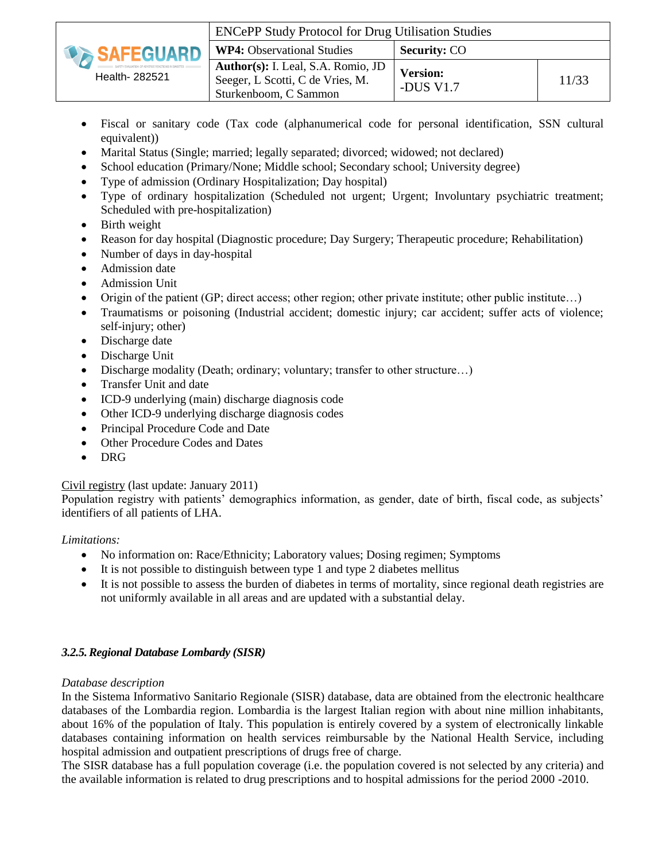|                         | <b>ENCePP Study Protocol for Drug Utilisation Studies</b>                                       |                              |       |
|-------------------------|-------------------------------------------------------------------------------------------------|------------------------------|-------|
| <b><i>SAFEGUARD</i></b> | <b>WP4:</b> Observational Studies                                                               | <b>Security: CO</b>          |       |
| Health- 282521          | Author(s): I. Leal, S.A. Romio, JD<br>Seeger, L Scotti, C de Vries, M.<br>Sturkenboom, C Sammon | <b>Version:</b><br>-DUS V1.7 | 11/33 |

- Fiscal or sanitary code (Tax code (alphanumerical code for personal identification, SSN cultural equivalent))
- Marital Status (Single; married; legally separated; divorced; widowed; not declared)
- School education (Primary/None; Middle school; Secondary school; University degree)
- Type of admission (Ordinary Hospitalization; Day hospital)
- Type of ordinary hospitalization (Scheduled not urgent; Urgent; Involuntary psychiatric treatment; Scheduled with pre-hospitalization)
- Birth weight
- Reason for day hospital (Diagnostic procedure; Day Surgery; Therapeutic procedure; Rehabilitation)
- Number of days in day-hospital
- Admission date
- Admission Unit
- Origin of the patient (GP; direct access; other region; other private institute; other public institute...)
- Traumatisms or poisoning (Industrial accident; domestic injury; car accident; suffer acts of violence; self-injury; other)
- Discharge date
- Discharge Unit
- Discharge modality (Death; ordinary; voluntary; transfer to other structure...)
- Transfer Unit and date
- ICD-9 underlying (main) discharge diagnosis code
- Other ICD-9 underlying discharge diagnosis codes
- Principal Procedure Code and Date
- Other Procedure Codes and Dates
- DRG

#### Civil registry (last update: January 2011)

Population registry with patients' demographics information, as gender, date of birth, fiscal code, as subjects' identifiers of all patients of LHA.

#### *Limitations:*

- No information on: Race/Ethnicity; Laboratory values; Dosing regimen; Symptoms
- $\bullet$  It is not possible to distinguish between type 1 and type 2 diabetes mellitus
- It is not possible to assess the burden of diabetes in terms of mortality, since regional death registries are not uniformly available in all areas and are updated with a substantial delay.

#### *3.2.5.Regional Database Lombardy (SISR)*

#### *Database description*

In the Sistema Informativo Sanitario Regionale (SISR) database, data are obtained from the electronic healthcare databases of the Lombardia region. Lombardia is the largest Italian region with about nine million inhabitants, about 16% of the population of Italy. This population is entirely covered by a system of electronically linkable databases containing information on health services reimbursable by the National Health Service, including hospital admission and outpatient prescriptions of drugs free of charge.

The SISR database has a full population coverage (i.e. the population covered is not selected by any criteria) and the available information is related to drug prescriptions and to hospital admissions for the period 2000 -2010.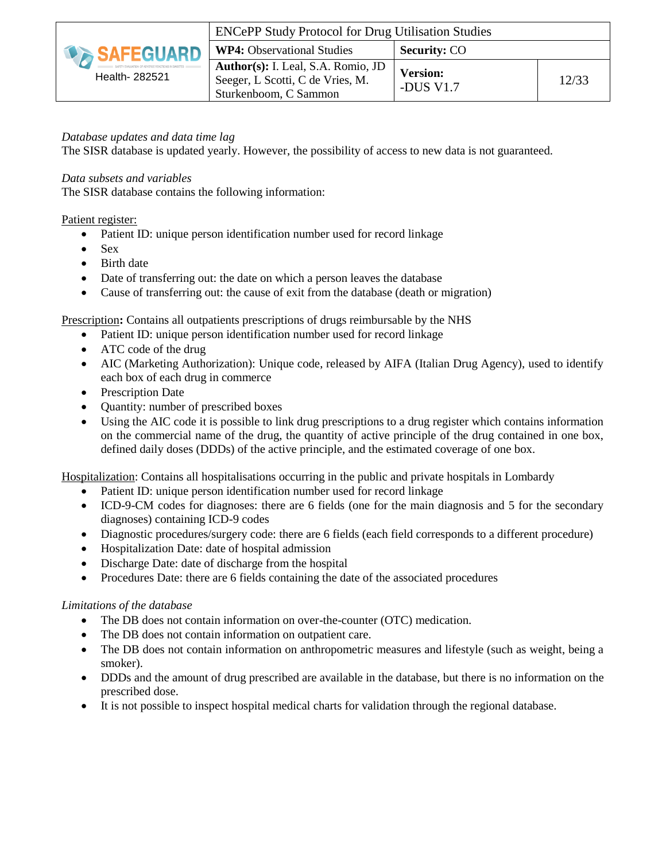| <b>DA SAFEGUARD</b><br>Health- 282521 | <b>ENCePP Study Protocol for Drug Utilisation Studies</b>                                       |                              |       |
|---------------------------------------|-------------------------------------------------------------------------------------------------|------------------------------|-------|
|                                       | <b>WP4:</b> Observational Studies                                                               | <b>Security: CO</b>          |       |
|                                       | Author(s): I. Leal, S.A. Romio, JD<br>Seeger, L Scotti, C de Vries, M.<br>Sturkenboom, C Sammon | <b>Version:</b><br>-DUS V1.7 | 12/33 |

#### *Database updates and data time lag*

The SISR database is updated yearly. However, the possibility of access to new data is not guaranteed.

#### *Data subsets and variables*

The SISR database contains the following information:

#### Patient register:

- Patient ID: unique person identification number used for record linkage
- $\bullet$  Sex
- Birth date
- Date of transferring out: the date on which a person leaves the database
- Cause of transferring out: the cause of exit from the database (death or migration)

Prescription**:** Contains all outpatients prescriptions of drugs reimbursable by the NHS

- Patient ID: unique person identification number used for record linkage
- ATC code of the drug
- AIC (Marketing Authorization): Unique code, released by AIFA (Italian Drug Agency), used to identify each box of each drug in commerce
- Prescription Date
- Quantity: number of prescribed boxes
- Using the AIC code it is possible to link drug prescriptions to a drug register which contains information on the commercial name of the drug, the quantity of active principle of the drug contained in one box, defined daily doses (DDDs) of the active principle, and the estimated coverage of one box.

Hospitalization: Contains all hospitalisations occurring in the public and private hospitals in Lombardy

- Patient ID: unique person identification number used for record linkage
- ICD-9-CM codes for diagnoses: there are 6 fields (one for the main diagnosis and 5 for the secondary diagnoses) containing ICD-9 codes
- Diagnostic procedures/surgery code: there are 6 fields (each field corresponds to a different procedure)
- Hospitalization Date: date of hospital admission
- Discharge Date: date of discharge from the hospital
- Procedures Date: there are 6 fields containing the date of the associated procedures

#### *Limitations of the database*

- The DB does not contain information on over-the-counter (OTC) medication.
- The DB does not contain information on outpatient care.
- The DB does not contain information on anthropometric measures and lifestyle (such as weight, being a smoker).
- DDDs and the amount of drug prescribed are available in the database, but there is no information on the prescribed dose.
- It is not possible to inspect hospital medical charts for validation through the regional database.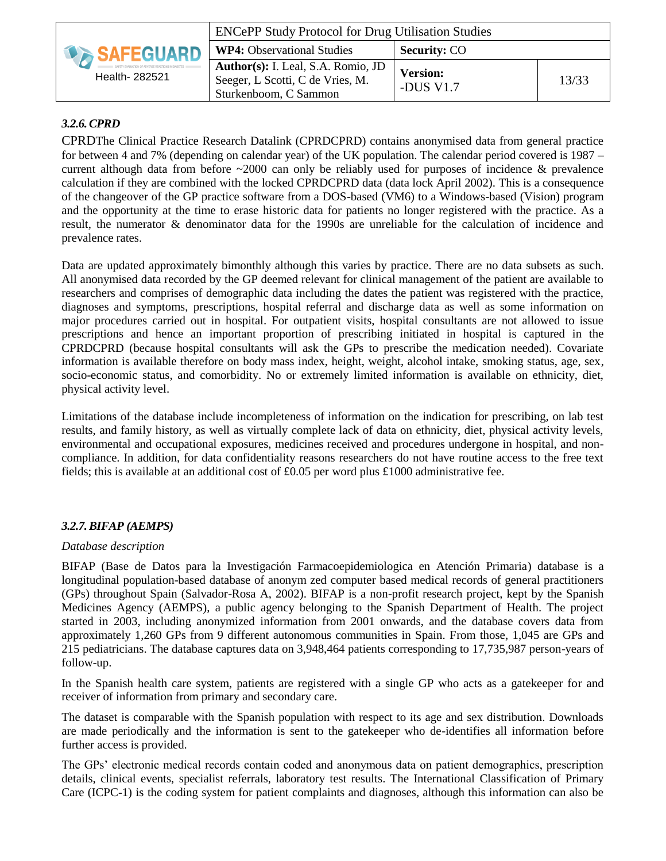| <b>DA SAFEGUARD</b><br>Health- 282521 | <b>ENCePP Study Protocol for Drug Utilisation Studies</b>                                       |                              |       |
|---------------------------------------|-------------------------------------------------------------------------------------------------|------------------------------|-------|
|                                       | <b>WP4:</b> Observational Studies                                                               | <b>Security: CO</b>          |       |
|                                       | Author(s): I. Leal, S.A. Romio, JD<br>Seeger, L Scotti, C de Vries, M.<br>Sturkenboom, C Sammon | <b>Version:</b><br>-DUS V1.7 | 13/33 |

### *3.2.6.CPRD*

CPRDThe Clinical Practice Research Datalink (CPRDCPRD) contains anonymised data from general practice for between 4 and 7% (depending on calendar year) of the UK population. The calendar period covered is 1987 – current although data from before  $\sim$ 2000 can only be reliably used for purposes of incidence & prevalence calculation if they are combined with the locked CPRDCPRD data (data lock April 2002). This is a consequence of the changeover of the GP practice software from a DOS-based (VM6) to a Windows-based (Vision) program and the opportunity at the time to erase historic data for patients no longer registered with the practice. As a result, the numerator & denominator data for the 1990s are unreliable for the calculation of incidence and prevalence rates.

Data are updated approximately bimonthly although this varies by practice. There are no data subsets as such. All anonymised data recorded by the GP deemed relevant for clinical management of the patient are available to researchers and comprises of demographic data including the dates the patient was registered with the practice, diagnoses and symptoms, prescriptions, hospital referral and discharge data as well as some information on major procedures carried out in hospital. For outpatient visits, hospital consultants are not allowed to issue prescriptions and hence an important proportion of prescribing initiated in hospital is captured in the CPRDCPRD (because hospital consultants will ask the GPs to prescribe the medication needed). Covariate information is available therefore on body mass index, height, weight, alcohol intake, smoking status, age, sex, socio-economic status, and comorbidity. No or extremely limited information is available on ethnicity, diet, physical activity level.

Limitations of the database include incompleteness of information on the indication for prescribing, on lab test results, and family history, as well as virtually complete lack of data on ethnicity, diet, physical activity levels, environmental and occupational exposures, medicines received and procedures undergone in hospital, and noncompliance. In addition, for data confidentiality reasons researchers do not have routine access to the free text fields; this is available at an additional cost of £0.05 per word plus £1000 administrative fee.

### *3.2.7.BIFAP (AEMPS)*

#### *Database description*

BIFAP (Base de Datos para la Investigación Farmacoepidemiologica en Atención Primaria) database is a longitudinal population-based database of anonym zed computer based medical records of general practitioners (GPs) throughout Spain (Salvador-Rosa A, 2002). BIFAP is a non-profit research project, kept by the Spanish Medicines Agency (AEMPS), a public agency belonging to the Spanish Department of Health. The project started in 2003, including anonymized information from 2001 onwards, and the database covers data from approximately 1,260 GPs from 9 different autonomous communities in Spain. From those, 1,045 are GPs and 215 pediatricians. The database captures data on 3,948,464 patients corresponding to 17,735,987 person-years of follow-up.

In the Spanish health care system, patients are registered with a single GP who acts as a gatekeeper for and receiver of information from primary and secondary care.

The dataset is comparable with the Spanish population with respect to its age and sex distribution. Downloads are made periodically and the information is sent to the gatekeeper who de-identifies all information before further access is provided.

The GPs' electronic medical records contain coded and anonymous data on patient demographics, prescription details, clinical events, specialist referrals, laboratory test results. The International Classification of Primary Care (ICPC-1) is the coding system for patient complaints and diagnoses, although this information can also be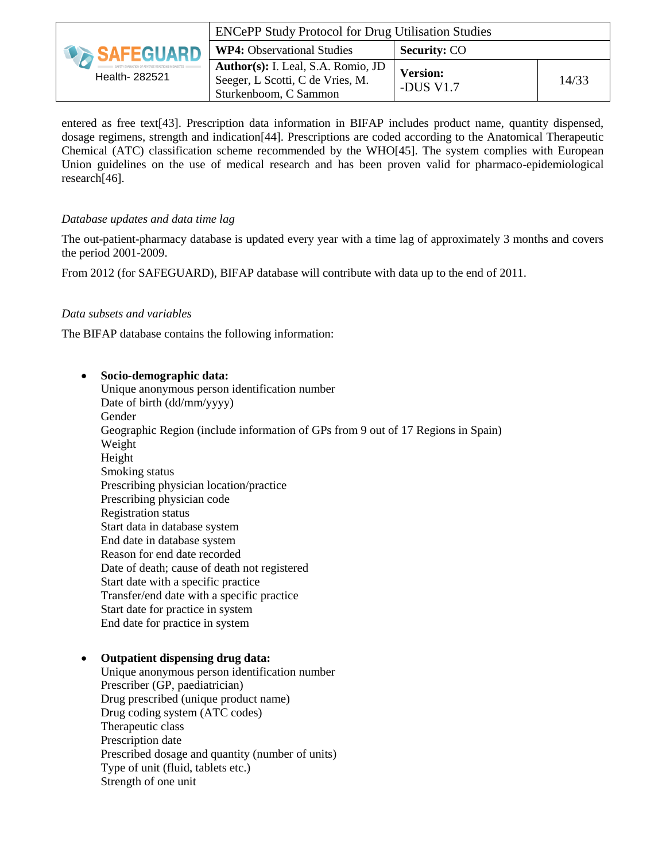| <b>DA SAFEGUARD</b><br>Health- 282521 | <b>ENCePP Study Protocol for Drug Utilisation Studies</b>                                       |                              |       |
|---------------------------------------|-------------------------------------------------------------------------------------------------|------------------------------|-------|
|                                       | <b>WP4:</b> Observational Studies                                                               | <b>Security: CO</b>          |       |
|                                       | Author(s): I. Leal, S.A. Romio, JD<br>Seeger, L Scotti, C de Vries, M.<br>Sturkenboom, C Sammon | <b>Version:</b><br>-DUS V1.7 | 14/33 |

entered as free text[43]. Prescription data information in BIFAP includes product name, quantity dispensed, dosage regimens, strength and indication[44]. Prescriptions are coded according to the Anatomical Therapeutic Chemical (ATC) classification scheme recommended by the WHO[45]. The system complies with European Union guidelines on the use of medical research and has been proven valid for pharmaco-epidemiological research[46].

#### *Database updates and data time lag*

The out-patient-pharmacy database is updated every year with a time lag of approximately 3 months and covers the period 2001-2009.

From 2012 (for SAFEGUARD), BIFAP database will contribute with data up to the end of 2011.

#### *Data subsets and variables*

The BIFAP database contains the following information:

 **Socio-demographic data:** Unique anonymous person identification number Date of birth (dd/mm/yyyy) Gender Geographic Region (include information of GPs from 9 out of 17 Regions in Spain) Weight Height Smoking status Prescribing physician location/practice Prescribing physician code Registration status Start data in database system End date in database system Reason for end date recorded Date of death; cause of death not registered Start date with a specific practice Transfer/end date with a specific practice Start date for practice in system End date for practice in system

#### **Outpatient dispensing drug data:**

Unique anonymous person identification number Prescriber (GP, paediatrician) Drug prescribed (unique product name) Drug coding system (ATC codes) Therapeutic class Prescription date Prescribed dosage and quantity (number of units) Type of unit (fluid, tablets etc.) Strength of one unit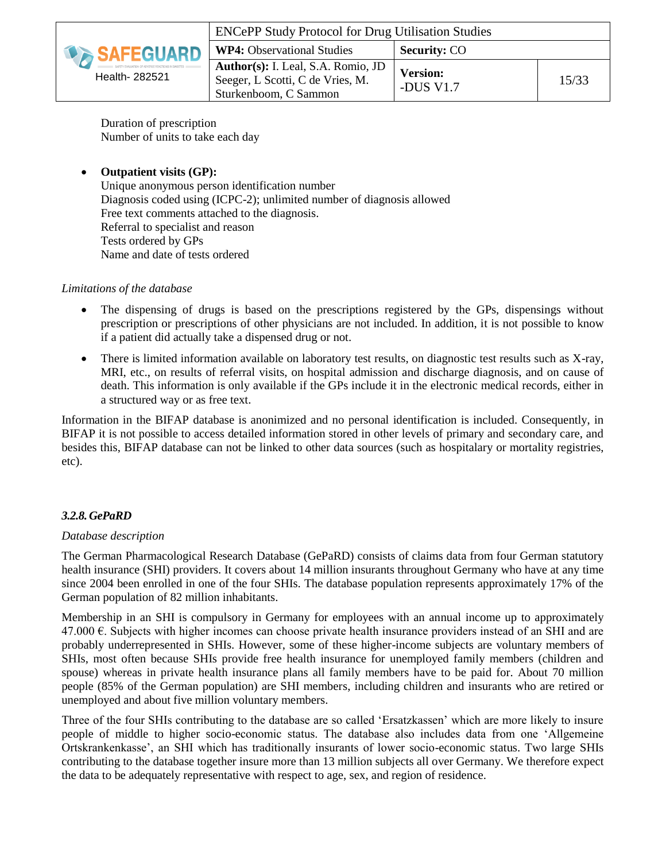

Duration of prescription Number of units to take each day

#### **Outpatient visits (GP):**

Unique anonymous person identification number Diagnosis coded using (ICPC-2); unlimited number of diagnosis allowed Free text comments attached to the diagnosis. Referral to specialist and reason Tests ordered by GPs Name and date of tests ordered

#### *Limitations of the database*

- The dispensing of drugs is based on the prescriptions registered by the GPs, dispensings without prescription or prescriptions of other physicians are not included. In addition, it is not possible to know if a patient did actually take a dispensed drug or not.
- There is limited information available on laboratory test results, on diagnostic test results such as X-ray, MRI, etc., on results of referral visits, on hospital admission and discharge diagnosis, and on cause of death. This information is only available if the GPs include it in the electronic medical records, either in a structured way or as free text.

Information in the BIFAP database is anonimized and no personal identification is included. Consequently, in BIFAP it is not possible to access detailed information stored in other levels of primary and secondary care, and besides this, BIFAP database can not be linked to other data sources (such as hospitalary or mortality registries, etc).

#### *3.2.8.GePaRD*

#### *Database description*

The German Pharmacological Research Database (GePaRD) consists of claims data from four German statutory health insurance (SHI) providers. It covers about 14 million insurants throughout Germany who have at any time since 2004 been enrolled in one of the four SHIs. The database population represents approximately 17% of the German population of 82 million inhabitants.

Membership in an SHI is compulsory in Germany for employees with an annual income up to approximately 47.000  $∈$ . Subjects with higher incomes can choose private health insurance providers instead of an SHI and are probably underrepresented in SHIs. However, some of these higher-income subjects are voluntary members of SHIs, most often because SHIs provide free health insurance for unemployed family members (children and spouse) whereas in private health insurance plans all family members have to be paid for. About 70 million people (85% of the German population) are SHI members, including children and insurants who are retired or unemployed and about five million voluntary members.

Three of the four SHIs contributing to the database are so called 'Ersatzkassen' which are more likely to insure people of middle to higher socio-economic status. The database also includes data from one 'Allgemeine Ortskrankenkasse', an SHI which has traditionally insurants of lower socio-economic status. Two large SHIs contributing to the database together insure more than 13 million subjects all over Germany. We therefore expect the data to be adequately representative with respect to age, sex, and region of residence.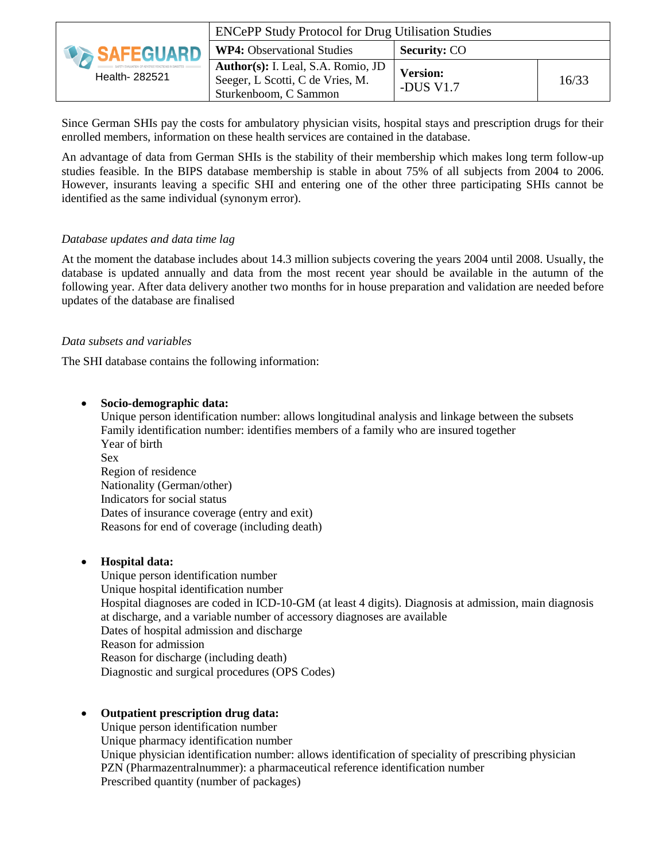|                                      | <b>ENCePP Study Protocol for Drug Utilisation Studies</b>                                       |                              |       |
|--------------------------------------|-------------------------------------------------------------------------------------------------|------------------------------|-------|
| <b>DESAFEGUARD</b><br>Health- 282521 | <b>WP4:</b> Observational Studies                                                               | <b>Security: CO</b>          |       |
|                                      | Author(s): I. Leal, S.A. Romio, JD<br>Seeger, L Scotti, C de Vries, M.<br>Sturkenboom, C Sammon | <b>Version:</b><br>-DUS V1.7 | 16/33 |

Since German SHIs pay the costs for ambulatory physician visits, hospital stays and prescription drugs for their enrolled members, information on these health services are contained in the database.

An advantage of data from German SHIs is the stability of their membership which makes long term follow-up studies feasible. In the BIPS database membership is stable in about 75% of all subjects from 2004 to 2006. However, insurants leaving a specific SHI and entering one of the other three participating SHIs cannot be identified as the same individual (synonym error).

#### *Database updates and data time lag*

At the moment the database includes about 14.3 million subjects covering the years 2004 until 2008. Usually, the database is updated annually and data from the most recent year should be available in the autumn of the following year. After data delivery another two months for in house preparation and validation are needed before updates of the database are finalised

#### *Data subsets and variables*

The SHI database contains the following information:

#### **Socio-demographic data:**

Unique person identification number: allows longitudinal analysis and linkage between the subsets Family identification number: identifies members of a family who are insured together Year of birth Sex Region of residence Nationality (German/other) Indicators for social status Dates of insurance coverage (entry and exit) Reasons for end of coverage (including death)

#### **Hospital data:**

Unique person identification number Unique hospital identification number Hospital diagnoses are coded in ICD-10-GM (at least 4 digits). Diagnosis at admission, main diagnosis at discharge, and a variable number of accessory diagnoses are available Dates of hospital admission and discharge Reason for admission Reason for discharge (including death) Diagnostic and surgical procedures (OPS Codes)

#### **Outpatient prescription drug data:**

Unique person identification number Unique pharmacy identification number Unique physician identification number: allows identification of speciality of prescribing physician PZN (Pharmazentralnummer): a pharmaceutical reference identification number Prescribed quantity (number of packages)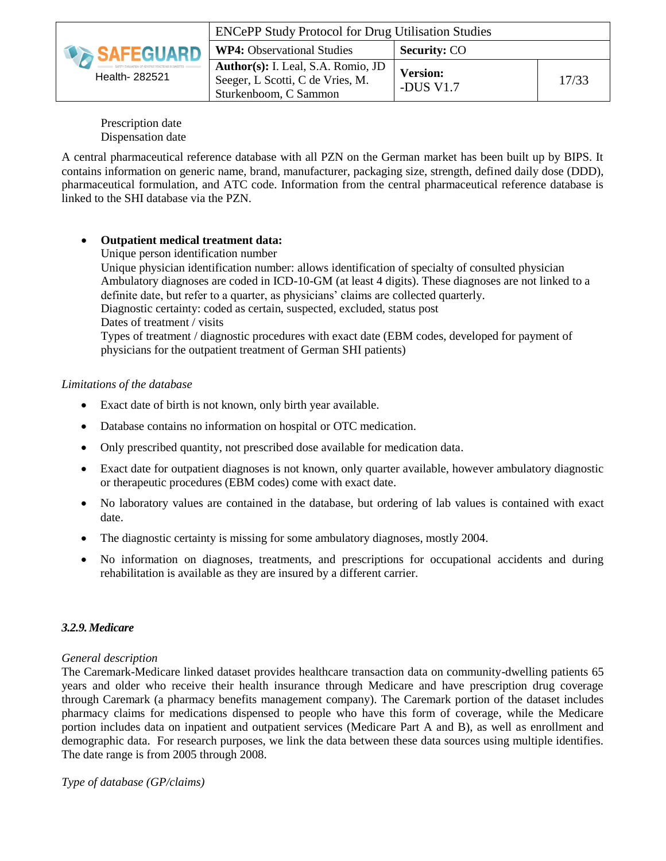|                                      | <b>ENCePP Study Protocol for Drug Utilisation Studies</b>                                       |                              |       |
|--------------------------------------|-------------------------------------------------------------------------------------------------|------------------------------|-------|
| <b>DESAFEGUARD</b><br>Health- 282521 | <b>WP4:</b> Observational Studies                                                               | <b>Security: CO</b>          |       |
|                                      | Author(s): I. Leal, S.A. Romio, JD<br>Seeger, L Scotti, C de Vries, M.<br>Sturkenboom, C Sammon | <b>Version:</b><br>-DUS V1.7 | 17/33 |

Prescription date Dispensation date

A central pharmaceutical reference database with all PZN on the German market has been built up by BIPS. It contains information on generic name, brand, manufacturer, packaging size, strength, defined daily dose (DDD), pharmaceutical formulation, and ATC code. Information from the central pharmaceutical reference database is linked to the SHI database via the PZN.

### **Outpatient medical treatment data:**

Unique person identification number

Unique physician identification number: allows identification of specialty of consulted physician Ambulatory diagnoses are coded in ICD-10-GM (at least 4 digits). These diagnoses are not linked to a definite date, but refer to a quarter, as physicians' claims are collected quarterly.

Diagnostic certainty: coded as certain, suspected, excluded, status post Dates of treatment / visits

Types of treatment / diagnostic procedures with exact date (EBM codes, developed for payment of physicians for the outpatient treatment of German SHI patients)

#### *Limitations of the database*

- Exact date of birth is not known, only birth year available.
- Database contains no information on hospital or OTC medication.
- Only prescribed quantity, not prescribed dose available for medication data.
- Exact date for outpatient diagnoses is not known, only quarter available, however ambulatory diagnostic or therapeutic procedures (EBM codes) come with exact date.
- No laboratory values are contained in the database, but ordering of lab values is contained with exact date.
- The diagnostic certainty is missing for some ambulatory diagnoses, mostly 2004.
- No information on diagnoses, treatments, and prescriptions for occupational accidents and during rehabilitation is available as they are insured by a different carrier.

#### *3.2.9.Medicare*

#### *General description*

The Caremark-Medicare linked dataset provides healthcare transaction data on community-dwelling patients 65 years and older who receive their health insurance through Medicare and have prescription drug coverage through Caremark (a pharmacy benefits management company). The Caremark portion of the dataset includes pharmacy claims for medications dispensed to people who have this form of coverage, while the Medicare portion includes data on inpatient and outpatient services (Medicare Part A and B), as well as enrollment and demographic data. For research purposes, we link the data between these data sources using multiple identifies. The date range is from 2005 through 2008.

*Type of database (GP/claims)*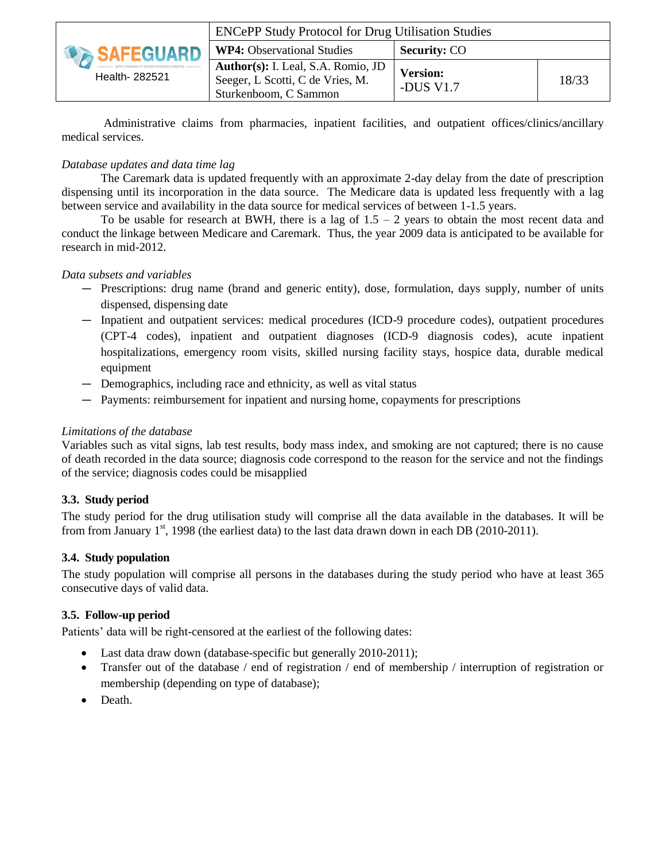| <b><i>SAFEGUARD</i></b><br>Health- 282521 | <b>ENCePP Study Protocol for Drug Utilisation Studies</b>                                              |                              |       |
|-------------------------------------------|--------------------------------------------------------------------------------------------------------|------------------------------|-------|
|                                           | <b>WP4:</b> Observational Studies                                                                      | <b>Security: CO</b>          |       |
|                                           | <b>Author(s):</b> I. Leal, S.A. Romio, JD<br>Seeger, L Scotti, C de Vries, M.<br>Sturkenboom, C Sammon | <b>Version:</b><br>-DUS V1.7 | 18/33 |

Administrative claims from pharmacies, inpatient facilities, and outpatient offices/clinics/ancillary medical services.

#### *Database updates and data time lag*

The Caremark data is updated frequently with an approximate 2-day delay from the date of prescription dispensing until its incorporation in the data source. The Medicare data is updated less frequently with a lag between service and availability in the data source for medical services of between 1-1.5 years.

To be usable for research at BWH, there is a lag of  $1.5 - 2$  years to obtain the most recent data and conduct the linkage between Medicare and Caremark. Thus, the year 2009 data is anticipated to be available for research in mid-2012.

#### *Data subsets and variables*

- Prescriptions: drug name (brand and generic entity), dose, formulation, days supply, number of units dispensed, dispensing date
- Inpatient and outpatient services: medical procedures (ICD-9 procedure codes), outpatient procedures (CPT-4 codes), inpatient and outpatient diagnoses (ICD-9 diagnosis codes), acute inpatient hospitalizations, emergency room visits, skilled nursing facility stays, hospice data, durable medical equipment
- Demographics, including race and ethnicity, as well as vital status
- Payments: reimbursement for inpatient and nursing home, copayments for prescriptions

#### *Limitations of the database*

Variables such as vital signs, lab test results, body mass index, and smoking are not captured; there is no cause of death recorded in the data source; diagnosis code correspond to the reason for the service and not the findings of the service; diagnosis codes could be misapplied

#### **3.3. Study period**

The study period for the drug utilisation study will comprise all the data available in the databases. It will be from from January  $1^{st}$ , 1998 (the earliest data) to the last data drawn down in each DB (2010-2011).

#### **3.4. Study population**

The study population will comprise all persons in the databases during the study period who have at least 365 consecutive days of valid data.

#### **3.5. Follow-up period**

Patients' data will be right-censored at the earliest of the following dates:

- Last data draw down (database-specific but generally 2010-2011);
- Transfer out of the database / end of registration / end of membership / interruption of registration or membership (depending on type of database);
- Death.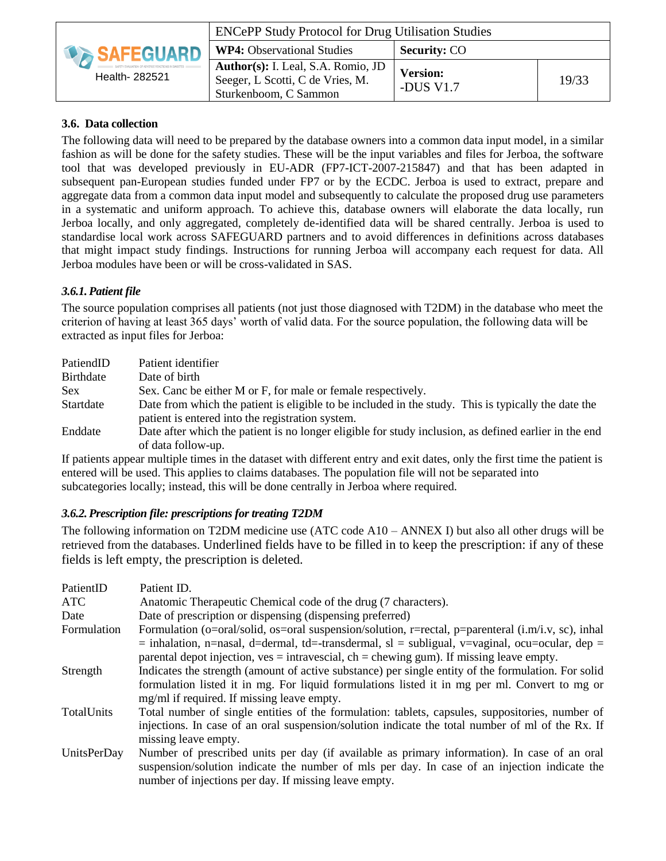| <b>DA SAFEGUARD</b><br>Health- 282521 | <b>ENCePP Study Protocol for Drug Utilisation Studies</b>                                       |                              |       |
|---------------------------------------|-------------------------------------------------------------------------------------------------|------------------------------|-------|
|                                       | <b>WP4:</b> Observational Studies                                                               | <b>Security: CO</b>          |       |
|                                       | Author(s): I. Leal, S.A. Romio, JD<br>Seeger, L Scotti, C de Vries, M.<br>Sturkenboom, C Sammon | <b>Version:</b><br>-DUS V1.7 | 19/33 |

#### **3.6. Data collection**

The following data will need to be prepared by the database owners into a common data input model, in a similar fashion as will be done for the safety studies. These will be the input variables and files for Jerboa, the software tool that was developed previously in EU-ADR (FP7-ICT-2007-215847) and that has been adapted in subsequent pan-European studies funded under FP7 or by the ECDC. Jerboa is used to extract, prepare and aggregate data from a common data input model and subsequently to calculate the proposed drug use parameters in a systematic and uniform approach. To achieve this, database owners will elaborate the data locally, run Jerboa locally, and only aggregated, completely de-identified data will be shared centrally. Jerboa is used to standardise local work across SAFEGUARD partners and to avoid differences in definitions across databases that might impact study findings. Instructions for running Jerboa will accompany each request for data. All Jerboa modules have been or will be cross-validated in SAS.

### *3.6.1.Patient file*

The source population comprises all patients (not just those diagnosed with T2DM) in the database who meet the criterion of having at least 365 days' worth of valid data. For the source population, the following data will be extracted as input files for Jerboa:

| PatiendID  | Patient identifier                                                                                                                                      |
|------------|---------------------------------------------------------------------------------------------------------------------------------------------------------|
| Birthdate  | Date of birth                                                                                                                                           |
| <b>Sex</b> | Sex. Canc be either M or F, for male or female respectively.                                                                                            |
| Startdate  | Date from which the patient is eligible to be included in the study. This is typically the date the<br>patient is entered into the registration system. |
| Enddate    | Date after which the patient is no longer eligible for study inclusion, as defined earlier in the end<br>of data follow-up.                             |

If patients appear multiple times in the dataset with different entry and exit dates, only the first time the patient is entered will be used. This applies to claims databases. The population file will not be separated into subcategories locally; instead, this will be done centrally in Jerboa where required.

### *3.6.2.Prescription file: prescriptions for treating T2DM*

The following information on T2DM medicine use (ATC code A10 – ANNEX I) but also all other drugs will be retrieved from the databases. Underlined fields have to be filled in to keep the prescription: if any of these fields is left empty, the prescription is deleted.

| PatientID   | Patient ID.                                                                                                              |
|-------------|--------------------------------------------------------------------------------------------------------------------------|
| ATC         | Anatomic Therapeutic Chemical code of the drug (7 characters).                                                           |
| Date        | Date of prescription or dispensing (dispensing preferred)                                                                |
| Formulation | Formulation (o=oral/solid, os=oral suspension/solution, r=rectal, p=parenteral $(i.m/i.v, sc)$ , inhal                   |
|             | $=$ inhalation, n=nasal, d=dermal, td=-transdermal, sl = subligual, v=vaginal, ocu=ocular, dep =                         |
|             | parental depot injection, $ves = intravescial$ , $ch = chewing gum$ ). If missing leave empty.                           |
| Strength    | Indicates the strength (amount of active substance) per single entity of the formulation. For solid                      |
|             | formulation listed it in mg. For liquid formulations listed it in mg per ml. Convert to mg or                            |
|             | mg/ml if required. If missing leave empty.                                                                               |
| TotalUnits  | Total number of single entities of the formulation: tablets, capsules, suppositories, number of                          |
|             | injections. In case of an oral suspension/solution indicate the total number of ml of the Rx. If<br>missing leave empty. |
| UnitsPerDay | Number of prescribed units per day (if available as primary information). In case of an oral                             |
|             |                                                                                                                          |
|             | suspension/solution indicate the number of mls per day. In case of an injection indicate the                             |
|             | number of injections per day. If missing leave empty.                                                                    |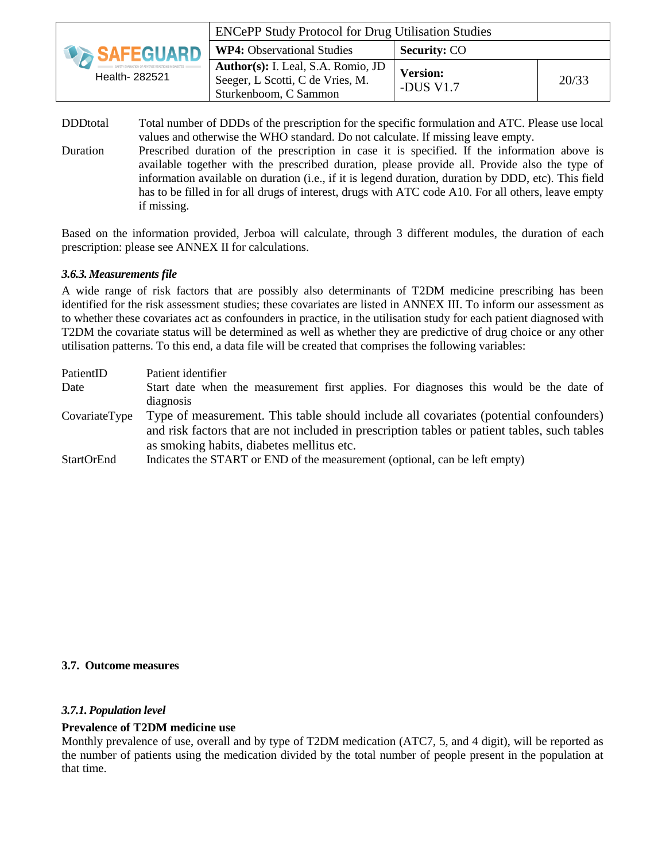|                                             | <b>ENCePP Study Protocol for Drug Utilisation Studies</b>                                       |                              |       |
|---------------------------------------------|-------------------------------------------------------------------------------------------------|------------------------------|-------|
| <b><i>DESAFEGUARD</i></b><br>Health- 282521 | <b>WP4:</b> Observational Studies                                                               | <b>Security: CO</b>          |       |
|                                             | Author(s): I. Leal, S.A. Romio, JD<br>Seeger, L Scotti, C de Vries, M.<br>Sturkenboom, C Sammon | <b>Version:</b><br>-DUS V1.7 | 20/33 |

- DDDtotal Total number of DDDs of the prescription for the specific formulation and ATC. Please use local values and otherwise the WHO standard. Do not calculate. If missing leave empty.
- Duration Prescribed duration of the prescription in case it is specified. If the information above is available together with the prescribed duration, please provide all. Provide also the type of information available on duration (i.e., if it is legend duration, duration by DDD, etc). This field has to be filled in for all drugs of interest, drugs with ATC code A10. For all others, leave empty if missing.

Based on the information provided, Jerboa will calculate, through 3 different modules, the duration of each prescription: please see ANNEX II for calculations.

#### *3.6.3.Measurements file*

A wide range of risk factors that are possibly also determinants of T2DM medicine prescribing has been identified for the risk assessment studies; these covariates are listed in ANNEX III. To inform our assessment as to whether these covariates act as confounders in practice, in the utilisation study for each patient diagnosed with T2DM the covariate status will be determined as well as whether they are predictive of drug choice or any other utilisation patterns. To this end, a data file will be created that comprises the following variables:

| PatientID     | Patient identifier                                                                           |
|---------------|----------------------------------------------------------------------------------------------|
| Date          | Start date when the measurement first applies. For diagnoses this would be the date of       |
|               | diagnosis                                                                                    |
| CovariateType | Type of measurement. This table should include all covariates (potential confounders)        |
|               | and risk factors that are not included in prescription tables or patient tables, such tables |
|               | as smoking habits, diabetes mellitus etc.                                                    |
| StartOrEnd    | Indicates the START or END of the measurement (optional, can be left empty)                  |

#### **3.7. Outcome measures**

#### *3.7.1.Population level*

#### **Prevalence of T2DM medicine use**

Monthly prevalence of use, overall and by type of T2DM medication (ATC7, 5, and 4 digit), will be reported as the number of patients using the medication divided by the total number of people present in the population at that time.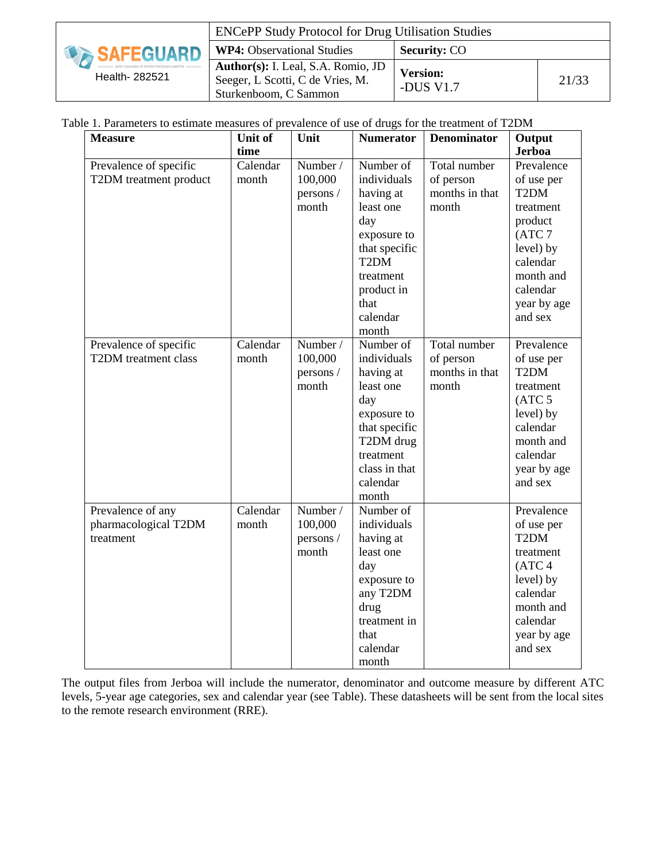| <b>DESAFEGUARD</b><br>Health- 282521 | <b>ENCePP Study Protocol for Drug Utilisation Studies</b>                                       |                              |       |
|--------------------------------------|-------------------------------------------------------------------------------------------------|------------------------------|-------|
|                                      | <b>WP4:</b> Observational Studies                                                               | <b>Security: CO</b>          |       |
|                                      | Author(s): I. Leal, S.A. Romio, JD<br>Seeger, L Scotti, C de Vries, M.<br>Sturkenboom, C Sammon | <b>Version:</b><br>-DUS V1.7 | 21/33 |

Table 1. Parameters to estimate measures of prevalence of use of drugs for the treatment of T2DM

| <b>Measure</b>         | Unit of  | Unit      | <b>Numerator</b>  | <b>Denominator</b> | Output              |
|------------------------|----------|-----------|-------------------|--------------------|---------------------|
|                        | time     |           |                   |                    | <b>Jerboa</b>       |
| Prevalence of specific | Calendar | Number /  | Number of         | Total number       | Prevalence          |
| T2DM treatment product | month    | 100,000   | individuals       | of person          | of use per          |
|                        |          | persons / | having at         | months in that     | T <sub>2</sub> DM   |
|                        |          | month     | least one         | month              | treatment           |
|                        |          |           | day               |                    | product             |
|                        |          |           | exposure to       |                    | (ATC <sub>7</sub> ) |
|                        |          |           | that specific     |                    | level) by           |
|                        |          |           | T <sub>2</sub> DM |                    | calendar            |
|                        |          |           | treatment         |                    | month and           |
|                        |          |           | product in        |                    | calendar            |
|                        |          |           | that              |                    | year by age         |
|                        |          |           | calendar          |                    | and sex             |
|                        |          |           | month             |                    |                     |
| Prevalence of specific | Calendar | Number /  | Number of         | Total number       | Prevalence          |
| T2DM treatment class   | month    | 100,000   | individuals       | of person          | of use per          |
|                        |          | persons / | having at         | months in that     | T <sub>2</sub> DM   |
|                        |          | month     | least one         | month              | treatment           |
|                        |          |           | day               |                    | (ATC <sub>5</sub> ) |
|                        |          |           | exposure to       |                    | level) by           |
|                        |          |           | that specific     |                    | calendar            |
|                        |          |           | T2DM drug         |                    | month and           |
|                        |          |           | treatment         |                    | calendar            |
|                        |          |           | class in that     |                    | year by age         |
|                        |          |           | calendar          |                    | and sex             |
|                        |          |           | month             |                    |                     |
| Prevalence of any      | Calendar | Number /  | Number of         |                    | Prevalence          |
| pharmacological T2DM   | month    | 100,000   | individuals       |                    | of use per          |
| treatment              |          | persons / | having at         |                    | T <sub>2</sub> DM   |
|                        |          | month     | least one         |                    | treatment           |
|                        |          |           | day               |                    | (ATC <sub>4</sub> ) |
|                        |          |           | exposure to       |                    | level) by           |
|                        |          |           | any T2DM          |                    | calendar            |
|                        |          |           | drug              |                    | month and           |
|                        |          |           | treatment in      |                    | calendar            |
|                        |          |           | that              |                    | year by age         |
|                        |          |           | calendar          |                    | and sex             |
|                        |          |           | month             |                    |                     |

The output files from Jerboa will include the numerator, denominator and outcome measure by different ATC levels, 5-year age categories, sex and calendar year (see Table). These datasheets will be sent from the local sites to the remote research environment (RRE).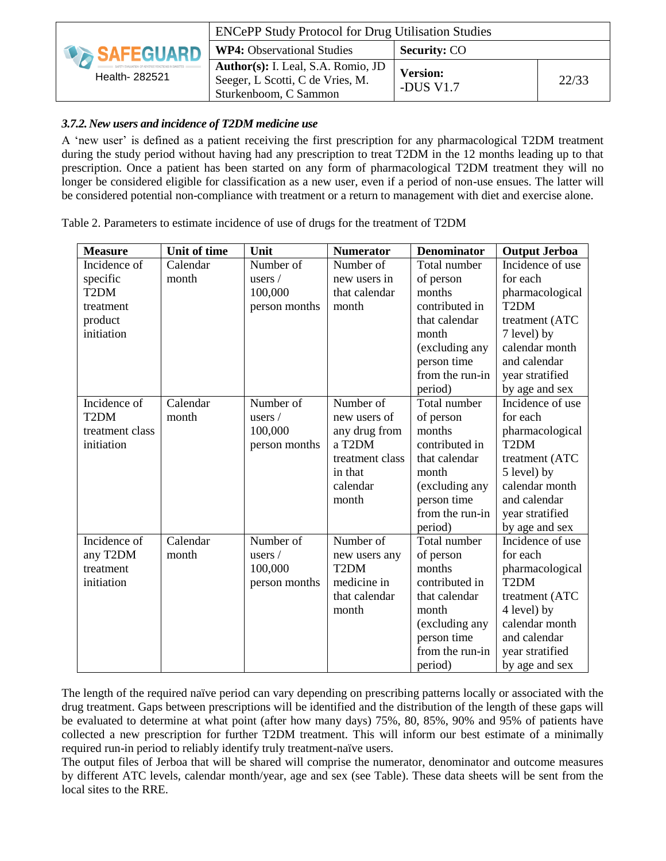|                     | <b>ENCePP Study Protocol for Drug Utilisation Studies</b>                                       |                              |       |
|---------------------|-------------------------------------------------------------------------------------------------|------------------------------|-------|
| <b>DA SAFEGUARD</b> | <b>WP4:</b> Observational Studies                                                               | <b>Security: CO</b>          |       |
| Health- 282521      | Author(s): I. Leal, S.A. Romio, JD<br>Seeger, L Scotti, C de Vries, M.<br>Sturkenboom, C Sammon | <b>Version:</b><br>-DUS V1.7 | 22/33 |

### *3.7.2.New users and incidence of T2DM medicine use*

A 'new user' is defined as a patient receiving the first prescription for any pharmacological T2DM treatment during the study period without having had any prescription to treat T2DM in the 12 months leading up to that prescription. Once a patient has been started on any form of pharmacological T2DM treatment they will no longer be considered eligible for classification as a new user, even if a period of non-use ensues. The latter will be considered potential non-compliance with treatment or a return to management with diet and exercise alone.

Table 2. Parameters to estimate incidence of use of drugs for the treatment of T2DM

| <b>Measure</b>    | Unit of time | Unit          | <b>Numerator</b>    | <b>Denominator</b> | <b>Output Jerboa</b> |
|-------------------|--------------|---------------|---------------------|--------------------|----------------------|
| Incidence of      | Calendar     | Number of     | Number of           | Total number       | Incidence of use     |
| specific          | month        | users $/$     | new users in        | of person          | for each             |
| T <sub>2</sub> DM |              | 100,000       | that calendar       | months             | pharmacological      |
| treatment         |              | person months | month               | contributed in     | T <sub>2</sub> DM    |
| product           |              |               |                     | that calendar      | treatment (ATC       |
| initiation        |              |               |                     | month              | 7 level) by          |
|                   |              |               |                     | (excluding any     | calendar month       |
|                   |              |               |                     | person time        | and calendar         |
|                   |              |               |                     | from the run-in    | year stratified      |
|                   |              |               |                     | period)            | by age and sex       |
| Incidence of      | Calendar     | Number of     | Number of           | Total number       | Incidence of use     |
| T <sub>2</sub> DM | month        | users /       | new users of        | of person          | for each             |
| treatment class   |              | 100,000       | any drug from       | months             | pharmacological      |
| initiation        |              | person months | a T <sub>2</sub> DM | contributed in     | T <sub>2</sub> DM    |
|                   |              |               | treatment class     | that calendar      | treatment (ATC       |
|                   |              |               | in that             | month              | 5 level) by          |
|                   |              |               | calendar            | (excluding any     | calendar month       |
|                   |              |               | month               | person time        | and calendar         |
|                   |              |               |                     | from the run-in    | year stratified      |
|                   |              |               |                     | period)            | by age and sex       |
| Incidence of      | Calendar     | Number of     | Number of           | Total number       | Incidence of use     |
| any T2DM          | month        | users $/$     | new users any       | of person          | for each             |
| treatment         |              | 100,000       | T <sub>2</sub> DM   | months             | pharmacological      |
| initiation        |              | person months | medicine in         | contributed in     | T <sub>2</sub> DM    |
|                   |              |               | that calendar       | that calendar      | treatment (ATC       |
|                   |              |               | month               | month              | 4 level) by          |
|                   |              |               |                     | (excluding any     | calendar month       |
|                   |              |               |                     | person time        | and calendar         |
|                   |              |               |                     | from the run-in    | year stratified      |
|                   |              |               |                     | period)            | by age and sex       |

The length of the required naïve period can vary depending on prescribing patterns locally or associated with the drug treatment. Gaps between prescriptions will be identified and the distribution of the length of these gaps will be evaluated to determine at what point (after how many days) 75%, 80, 85%, 90% and 95% of patients have collected a new prescription for further T2DM treatment. This will inform our best estimate of a minimally required run-in period to reliably identify truly treatment-naïve users.

The output files of Jerboa that will be shared will comprise the numerator, denominator and outcome measures by different ATC levels, calendar month/year, age and sex (see Table). These data sheets will be sent from the local sites to the RRE.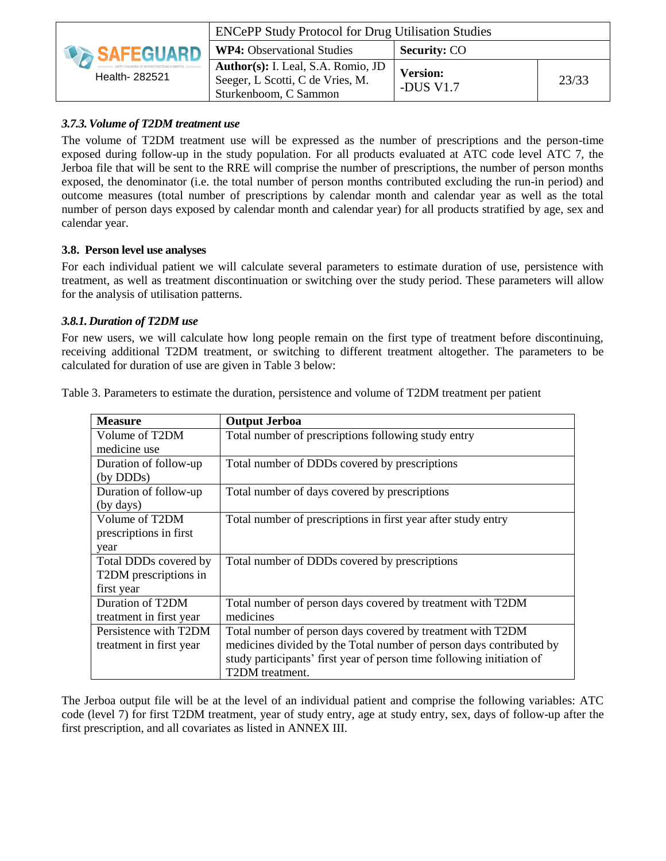|                          | <b>ENCePP Study Protocol for Drug Utilisation Studies</b>                                       |                              |       |
|--------------------------|-------------------------------------------------------------------------------------------------|------------------------------|-------|
| <b>EXAMPLE SAFEGUARD</b> | <b>WP4:</b> Observational Studies                                                               | <b>Security: CO</b>          |       |
| Health- 282521           | Author(s): I. Leal, S.A. Romio, JD<br>Seeger, L Scotti, C de Vries, M.<br>Sturkenboom, C Sammon | <b>Version:</b><br>-DUS V1.7 | 23/33 |

#### *3.7.3.Volume of T2DM treatment use*

The volume of T2DM treatment use will be expressed as the number of prescriptions and the person-time exposed during follow-up in the study population. For all products evaluated at ATC code level ATC 7, the Jerboa file that will be sent to the RRE will comprise the number of prescriptions, the number of person months exposed, the denominator (i.e. the total number of person months contributed excluding the run-in period) and outcome measures (total number of prescriptions by calendar month and calendar year as well as the total number of person days exposed by calendar month and calendar year) for all products stratified by age, sex and calendar year.

#### **3.8. Person level use analyses**

For each individual patient we will calculate several parameters to estimate duration of use, persistence with treatment, as well as treatment discontinuation or switching over the study period. These parameters will allow for the analysis of utilisation patterns.

#### *3.8.1.Duration of T2DM use*

For new users, we will calculate how long people remain on the first type of treatment before discontinuing, receiving additional T2DM treatment, or switching to different treatment altogether. The parameters to be calculated for duration of use are given in Table 3 below:

|  |  |  | Table 3. Parameters to estimate the duration, persistence and volume of T2DM treatment per patient |  |
|--|--|--|----------------------------------------------------------------------------------------------------|--|
|  |  |  |                                                                                                    |  |

| <b>Measure</b>          | <b>Output Jerboa</b>                                                  |
|-------------------------|-----------------------------------------------------------------------|
| Volume of T2DM          | Total number of prescriptions following study entry                   |
| medicine use            |                                                                       |
| Duration of follow-up   | Total number of DDDs covered by prescriptions                         |
| (by DDDs)               |                                                                       |
| Duration of follow-up   | Total number of days covered by prescriptions                         |
| (by days)               |                                                                       |
| Volume of T2DM          | Total number of prescriptions in first year after study entry         |
| prescriptions in first  |                                                                       |
| year                    |                                                                       |
| Total DDDs covered by   | Total number of DDDs covered by prescriptions                         |
| T2DM prescriptions in   |                                                                       |
| first year              |                                                                       |
| Duration of T2DM        | Total number of person days covered by treatment with T2DM            |
| treatment in first year | medicines                                                             |
| Persistence with T2DM   | Total number of person days covered by treatment with T2DM            |
| treatment in first year | medicines divided by the Total number of person days contributed by   |
|                         | study participants' first year of person time following initiation of |
|                         | T2DM treatment.                                                       |

The Jerboa output file will be at the level of an individual patient and comprise the following variables: ATC code (level 7) for first T2DM treatment, year of study entry, age at study entry, sex, days of follow-up after the first prescription, and all covariates as listed in ANNEX III.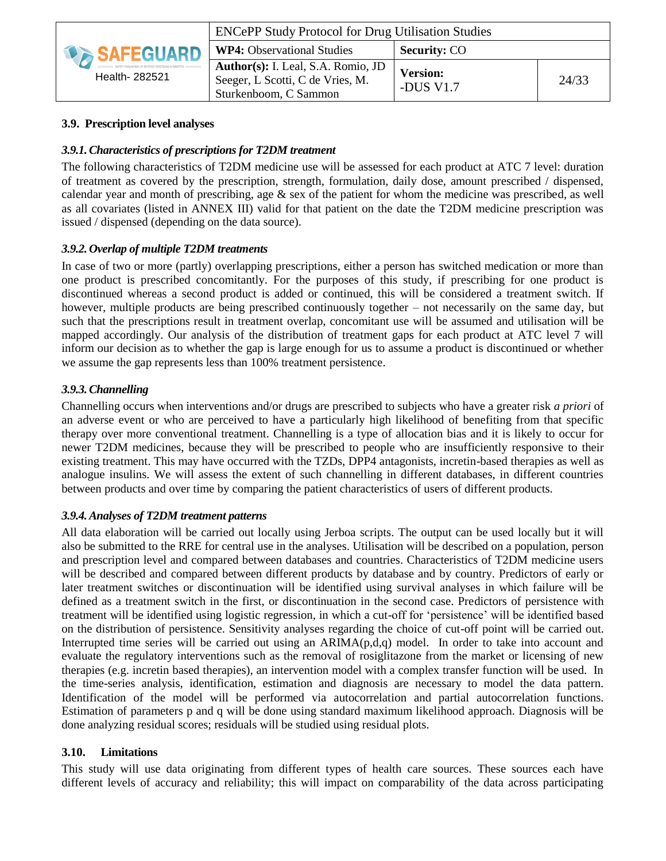|                    | <b>ENCePP Study Protocol for Drug Utilisation Studies</b>                                       |                                |       |
|--------------------|-------------------------------------------------------------------------------------------------|--------------------------------|-------|
| <b>DESAFEGUARD</b> | <b>WP4:</b> Observational Studies                                                               | <b>Security: CO</b>            |       |
| Health- 282521     | Author(s): I. Leal, S.A. Romio, JD<br>Seeger, L Scotti, C de Vries, M.<br>Sturkenboom, C Sammon | <b>Version:</b><br>-DUS $V1.7$ | 24/33 |

#### **3.9. Prescription level analyses**

#### *3.9.1.Characteristics of prescriptions for T2DM treatment*

The following characteristics of T2DM medicine use will be assessed for each product at ATC 7 level: duration of treatment as covered by the prescription, strength, formulation, daily dose, amount prescribed / dispensed, calendar year and month of prescribing, age & sex of the patient for whom the medicine was prescribed, as well as all covariates (listed in ANNEX III) valid for that patient on the date the T2DM medicine prescription was issued / dispensed (depending on the data source).

#### *3.9.2.Overlap of multiple T2DM treatments*

In case of two or more (partly) overlapping prescriptions, either a person has switched medication or more than one product is prescribed concomitantly. For the purposes of this study, if prescribing for one product is discontinued whereas a second product is added or continued, this will be considered a treatment switch. If however, multiple products are being prescribed continuously together – not necessarily on the same day, but such that the prescriptions result in treatment overlap, concomitant use will be assumed and utilisation will be mapped accordingly. Our analysis of the distribution of treatment gaps for each product at ATC level 7 will inform our decision as to whether the gap is large enough for us to assume a product is discontinued or whether we assume the gap represents less than 100% treatment persistence.

#### *3.9.3.Channelling*

Channelling occurs when interventions and/or drugs are prescribed to subjects who have a greater risk *a priori* of an adverse event or who are perceived to have a particularly high likelihood of benefiting from that specific therapy over more conventional treatment. Channelling is a type of allocation bias and it is likely to occur for newer T2DM medicines, because they will be prescribed to people who are insufficiently responsive to their existing treatment. This may have occurred with the TZDs, DPP4 antagonists, incretin-based therapies as well as analogue insulins. We will assess the extent of such channelling in different databases, in different countries between products and over time by comparing the patient characteristics of users of different products.

#### *3.9.4.Analyses of T2DM treatment patterns*

All data elaboration will be carried out locally using Jerboa scripts. The output can be used locally but it will also be submitted to the RRE for central use in the analyses. Utilisation will be described on a population, person and prescription level and compared between databases and countries. Characteristics of T2DM medicine users will be described and compared between different products by database and by country. Predictors of early or later treatment switches or discontinuation will be identified using survival analyses in which failure will be defined as a treatment switch in the first, or discontinuation in the second case. Predictors of persistence with treatment will be identified using logistic regression, in which a cut-off for 'persistence' will be identified based on the distribution of persistence. Sensitivity analyses regarding the choice of cut-off point will be carried out. Interrupted time series will be carried out using an  $ARIMA(p,d,q)$  model. In order to take into account and evaluate the regulatory interventions such as the removal of rosiglitazone from the market or licensing of new therapies (e.g. incretin based therapies), an intervention model with a complex transfer function will be used. In the time-series analysis, identification, estimation and diagnosis are necessary to model the data pattern. Identification of the model will be performed via autocorrelation and partial autocorrelation functions. Estimation of parameters p and q will be done using standard maximum likelihood approach. Diagnosis will be done analyzing residual scores; residuals will be studied using residual plots.

#### **3.10. Limitations**

This study will use data originating from different types of health care sources. These sources each have different levels of accuracy and reliability; this will impact on comparability of the data across participating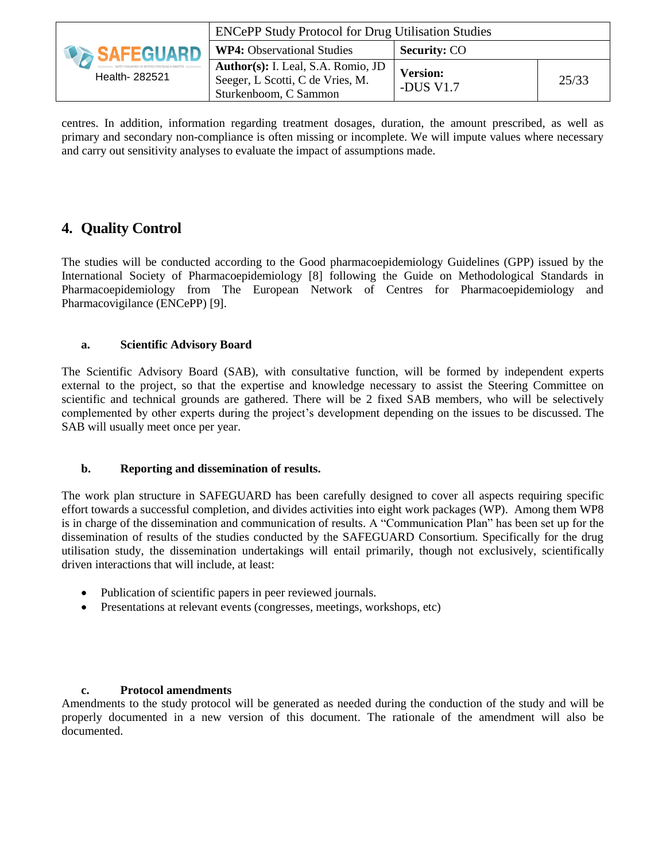|                     | <b>ENCePP Study Protocol for Drug Utilisation Studies</b>                                       |                              |       |
|---------------------|-------------------------------------------------------------------------------------------------|------------------------------|-------|
| <b>DA SAFEGUARD</b> | <b>WP4:</b> Observational Studies                                                               | <b>Security: CO</b>          |       |
| Health- 282521      | Author(s): I. Leal, S.A. Romio, JD<br>Seeger, L Scotti, C de Vries, M.<br>Sturkenboom, C Sammon | <b>Version:</b><br>-DUS V1.7 | 25/33 |

centres. In addition, information regarding treatment dosages, duration, the amount prescribed, as well as primary and secondary non-compliance is often missing or incomplete. We will impute values where necessary and carry out sensitivity analyses to evaluate the impact of assumptions made.

### **4. Quality Control**

The studies will be conducted according to the Good pharmacoepidemiology Guidelines (GPP) issued by the International Society of Pharmacoepidemiology [8] following the Guide on Methodological Standards in Pharmacoepidemiology from The European Network of Centres for Pharmacoepidemiology and Pharmacovigilance (ENCePP) [9].

#### **a. Scientific Advisory Board**

The Scientific Advisory Board (SAB), with consultative function, will be formed by independent experts external to the project, so that the expertise and knowledge necessary to assist the Steering Committee on scientific and technical grounds are gathered. There will be 2 fixed SAB members, who will be selectively complemented by other experts during the project's development depending on the issues to be discussed. The SAB will usually meet once per year.

#### **b. Reporting and dissemination of results.**

The work plan structure in SAFEGUARD has been carefully designed to cover all aspects requiring specific effort towards a successful completion, and divides activities into eight work packages (WP). Among them WP8 is in charge of the dissemination and communication of results. A "Communication Plan" has been set up for the dissemination of results of the studies conducted by the SAFEGUARD Consortium. Specifically for the drug utilisation study, the dissemination undertakings will entail primarily, though not exclusively, scientifically driven interactions that will include, at least:

- Publication of scientific papers in peer reviewed journals.
- Presentations at relevant events (congresses, meetings, workshops, etc)

#### **c. Protocol amendments**

Amendments to the study protocol will be generated as needed during the conduction of the study and will be properly documented in a new version of this document. The rationale of the amendment will also be documented.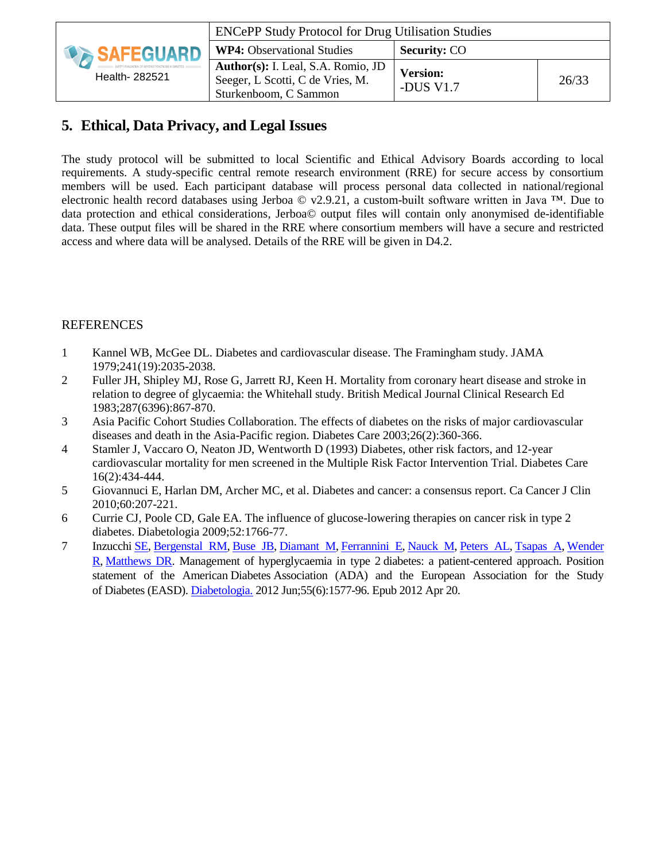|                    | <b>ENCePP Study Protocol for Drug Utilisation Studies</b>                                       |                              |       |
|--------------------|-------------------------------------------------------------------------------------------------|------------------------------|-------|
| <b>DESAFEGUARD</b> | <b>WP4:</b> Observational Studies                                                               | <b>Security: CO</b>          |       |
| Health- 282521     | Author(s): I. Leal, S.A. Romio, JD<br>Seeger, L Scotti, C de Vries, M.<br>Sturkenboom, C Sammon | <b>Version:</b><br>-DUS V1.7 | 26/33 |

## **5. Ethical, Data Privacy, and Legal Issues**

The study protocol will be submitted to local Scientific and Ethical Advisory Boards according to local requirements. A study-specific central remote research environment (RRE) for secure access by consortium members will be used. Each participant database will process personal data collected in national/regional electronic health record databases using Jerboa  $\odot$  v2.9.21, a custom-built software written in Java <sup>™</sup>. Due to data protection and ethical considerations, Jerboa© output files will contain only anonymised de-identifiable data. These output files will be shared in the RRE where consortium members will have a secure and restricted access and where data will be analysed. Details of the RRE will be given in D4.2.

### REFERENCES

- 1 Kannel WB, McGee DL. Diabetes and cardiovascular disease. The Framingham study. JAMA 1979;241(19):2035-2038.
- 2 Fuller JH, Shipley MJ, Rose G, Jarrett RJ, Keen H. Mortality from coronary heart disease and stroke in relation to degree of glycaemia: the Whitehall study. British Medical Journal Clinical Research Ed 1983;287(6396):867-870.
- 3 Asia Pacific Cohort Studies Collaboration. The effects of diabetes on the risks of major cardiovascular diseases and death in the Asia-Pacific region. Diabetes Care 2003;26(2):360-366.
- 4 Stamler J, Vaccaro O, Neaton JD, Wentworth D (1993) Diabetes, other risk factors, and 12-year cardiovascular mortality for men screened in the Multiple Risk Factor Intervention Trial. Diabetes Care 16(2):434-444.
- 5 Giovannuci E, Harlan DM, Archer MC, et al. Diabetes and cancer: a consensus report. Ca Cancer J Clin 2010;60:207-221.
- 6 Currie CJ, Poole CD, Gale EA. The influence of glucose-lowering therapies on cancer risk in type 2 diabetes. Diabetologia 2009;52:1766-77.
- 7 [Inzucchi](http://www.ncbi.nlm.nih.gov/pubmed?term=Inzucchi%20SE%5BAuthor%5D&cauthor=true&cauthor_uid=22526604) SE, [Bergenstal](http://www.ncbi.nlm.nih.gov/pubmed?term=Bergenstal%20RM%5BAuthor%5D&cauthor=true&cauthor_uid=22526604) RM, [Buse](http://www.ncbi.nlm.nih.gov/pubmed?term=Buse%20JB%5BAuthor%5D&cauthor=true&cauthor_uid=22526604) JB, [Diamant](http://www.ncbi.nlm.nih.gov/pubmed?term=Diamant%20M%5BAuthor%5D&cauthor=true&cauthor_uid=22526604) M, [Ferrannini](http://www.ncbi.nlm.nih.gov/pubmed?term=Ferrannini%20E%5BAuthor%5D&cauthor=true&cauthor_uid=22526604) E, [Nauck](http://www.ncbi.nlm.nih.gov/pubmed?term=Nauck%20M%5BAuthor%5D&cauthor=true&cauthor_uid=22526604) M, [Peters](http://www.ncbi.nlm.nih.gov/pubmed?term=Peters%20AL%5BAuthor%5D&cauthor=true&cauthor_uid=22526604) AL, [Tsapas](http://www.ncbi.nlm.nih.gov/pubmed?term=Tsapas%20A%5BAuthor%5D&cauthor=true&cauthor_uid=22526604) A, [Wender](http://www.ncbi.nlm.nih.gov/pubmed?term=Wender%20R%5BAuthor%5D&cauthor=true&cauthor_uid=22526604) [R,](http://www.ncbi.nlm.nih.gov/pubmed?term=Wender%20R%5BAuthor%5D&cauthor=true&cauthor_uid=22526604) [Matthews](http://www.ncbi.nlm.nih.gov/pubmed?term=Matthews%20DR%5BAuthor%5D&cauthor=true&cauthor_uid=22526604) DR. Management of hyperglycaemia in type 2 diabetes: a patient-centered approach. Position statement of the American Diabetes Association (ADA) and the European Association for the Study of Diabetes (EASD). [Diabetologia.](http://www.ncbi.nlm.nih.gov/pubmed/22526604) 2012 Jun;55(6):1577-96. Epub 2012 Apr 20.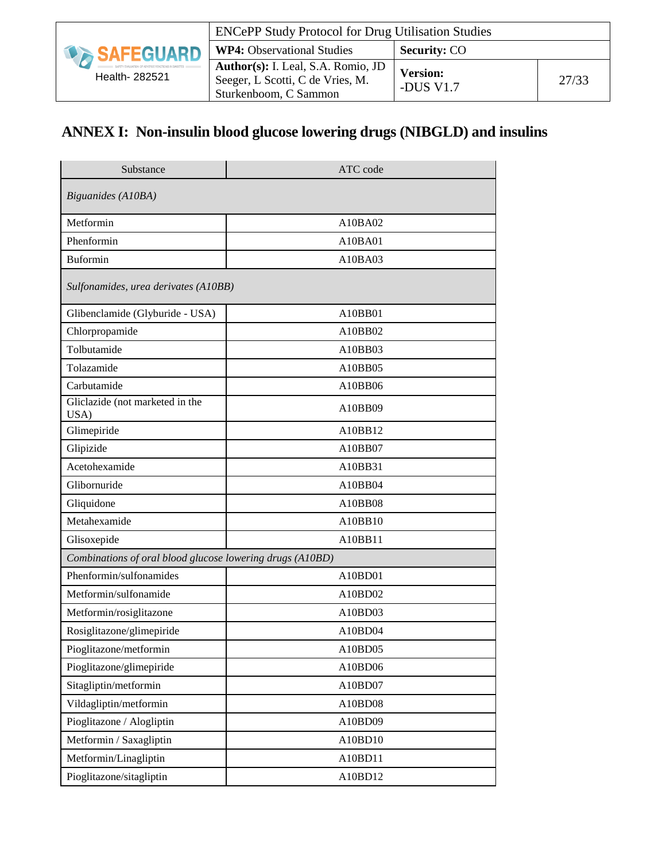|                            | <b>ENCePP Study Protocol for Drug Utilisation Studies</b>                                       |                              |       |
|----------------------------|-------------------------------------------------------------------------------------------------|------------------------------|-------|
| <b><i>DA SAFEGUARD</i></b> | <b>WP4:</b> Observational Studies                                                               | <b>Security: CO</b>          |       |
| Health- 282521             | Author(s): I. Leal, S.A. Romio, JD<br>Seeger, L Scotti, C de Vries, M.<br>Sturkenboom, C Sammon | <b>Version:</b><br>-DUS V1.7 | 27/33 |

# **ANNEX I: Non-insulin blood glucose lowering drugs (NIBGLD) and insulins**

| Substance                                                 | ATC code |
|-----------------------------------------------------------|----------|
| Biguanides (A10BA)                                        |          |
| Metformin                                                 | A10BA02  |
| Phenformin                                                | A10BA01  |
| <b>Buformin</b>                                           | A10BA03  |
| Sulfonamides, urea derivates (A10BB)                      |          |
| Glibenclamide (Glyburide - USA)                           | A10BB01  |
| Chlorpropamide                                            | A10BB02  |
| Tolbutamide                                               | A10BB03  |
| Tolazamide                                                | A10BB05  |
| Carbutamide                                               | A10BB06  |
| Gliclazide (not marketed in the<br>USA)                   | A10BB09  |
| Glimepiride                                               | A10BB12  |
| Glipizide                                                 | A10BB07  |
| Acetohexamide                                             | A10BB31  |
| Glibornuride                                              | A10BB04  |
| Gliquidone                                                | A10BB08  |
| Metahexamide                                              | A10BB10  |
| Glisoxepide                                               | A10BB11  |
| Combinations of oral blood glucose lowering drugs (A10BD) |          |
| Phenformin/sulfonamides                                   | A10BD01  |
| Metformin/sulfonamide                                     | A10BD02  |
| Metformin/rosiglitazone                                   | A10BD03  |
| Rosiglitazone/glimepiride                                 | A10BD04  |
| Pioglitazone/metformin                                    | A10BD05  |
| Pioglitazone/glimepiride                                  | A10BD06  |
| Sitagliptin/metformin                                     | A10BD07  |
| Vildagliptin/metformin                                    | A10BD08  |
| Pioglitazone / Alogliptin                                 | A10BD09  |
| Metformin / Saxagliptin                                   | A10BD10  |
| Metformin/Linagliptin                                     | A10BD11  |
| Pioglitazone/sitagliptin                                  | A10BD12  |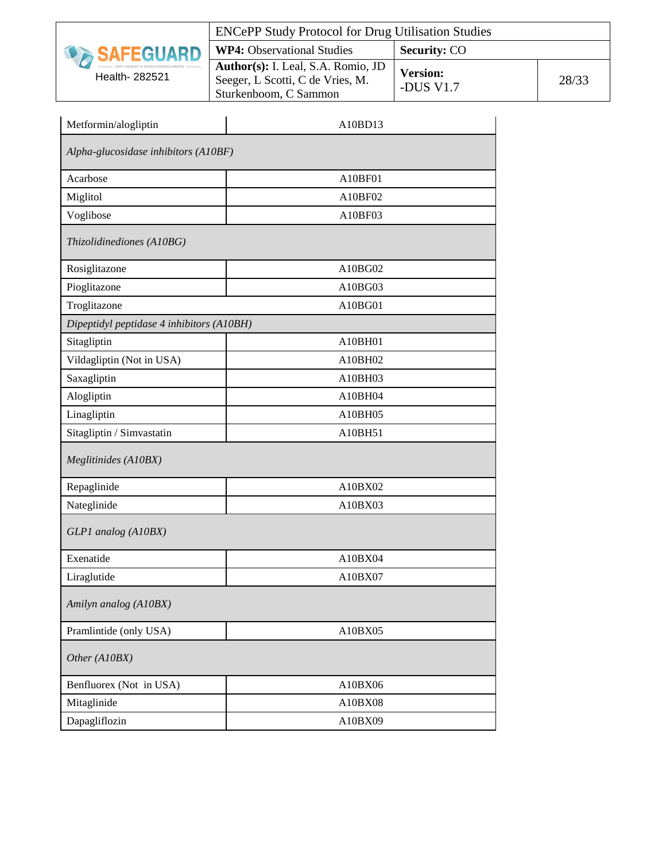|                     | <b>ENCePP Study Protocol for Drug Utilisation Studies</b>                                       |                              |       |
|---------------------|-------------------------------------------------------------------------------------------------|------------------------------|-------|
| <b>DA SAFEGUARD</b> | <b>WP4:</b> Observational Studies                                                               | <b>Security: CO</b>          |       |
| Health- 282521      | Author(s): I. Leal, S.A. Romio, JD<br>Seeger, L Scotti, C de Vries, M.<br>Sturkenboom, C Sammon | <b>Version:</b><br>-DUS V1.7 | 28/33 |

| Metformin/alogliptin                      | A10BD13 |  |  |
|-------------------------------------------|---------|--|--|
| Alpha-glucosidase inhibitors (A10BF)      |         |  |  |
| Acarbose                                  | A10BF01 |  |  |
| Miglitol                                  | A10BF02 |  |  |
| Voglibose                                 | A10BF03 |  |  |
| Thizolidinediones (A10BG)                 |         |  |  |
| Rosiglitazone                             | A10BG02 |  |  |
| Pioglitazone                              | A10BG03 |  |  |
| Troglitazone                              | A10BG01 |  |  |
| Dipeptidyl peptidase 4 inhibitors (A10BH) |         |  |  |
| Sitagliptin                               | A10BH01 |  |  |
| Vildagliptin (Not in USA)                 | A10BH02 |  |  |
| Saxagliptin                               | A10BH03 |  |  |
| Alogliptin                                | A10BH04 |  |  |
| Linagliptin                               | A10BH05 |  |  |
| Sitagliptin / Simvastatin                 | A10BH51 |  |  |
| Meglitinides (A10BX)                      |         |  |  |
| Repaglinide                               | A10BX02 |  |  |
| Nateglinide                               | A10BX03 |  |  |
| GLP1 analog (A10BX)                       |         |  |  |
| Exenatide                                 | A10BX04 |  |  |
| Liraglutide                               | A10BX07 |  |  |
| Amilyn analog (A10BX)                     |         |  |  |
| Pramlintide (only USA)                    | A10BX05 |  |  |
| Other (A10BX)                             |         |  |  |
| Benfluorex (Not in USA)                   | A10BX06 |  |  |
| Mitaglinide                               | A10BX08 |  |  |
| Dapagliflozin                             | A10BX09 |  |  |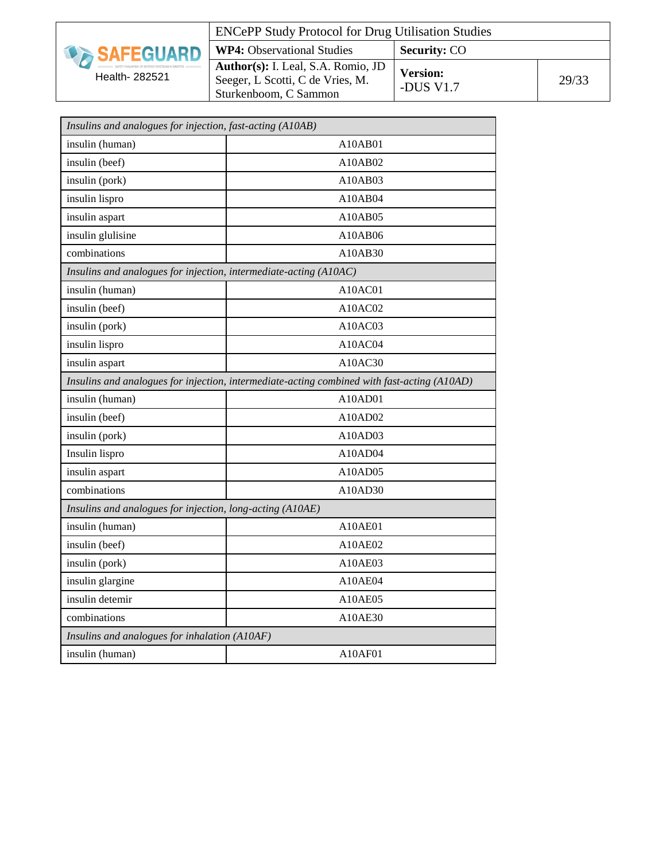| <b>SAFEGUARD</b> |
|------------------|
| Health- 282521   |

| <b>ENCePP Study Protocol for Drug Utilisation Studies</b>                                              |                                |       |
|--------------------------------------------------------------------------------------------------------|--------------------------------|-------|
| <b>WP4:</b> Observational Studies                                                                      | <b>Security: CO</b>            |       |
| <b>Author(s):</b> I. Leal, S.A. Romio, JD<br>Seeger, L Scotti, C de Vries, M.<br>Sturkenboom, C Sammon | <b>Version:</b><br>-DUS $V1.7$ | 29/33 |

| Insulins and analogues for injection, fast-acting (A10AB)                                   |         |  |
|---------------------------------------------------------------------------------------------|---------|--|
| insulin (human)                                                                             | A10AB01 |  |
| insulin (beef)                                                                              | A10AB02 |  |
| insulin (pork)                                                                              | A10AB03 |  |
| insulin lispro                                                                              | A10AB04 |  |
| insulin aspart                                                                              | A10AB05 |  |
| insulin glulisine                                                                           | A10AB06 |  |
| combinations                                                                                | A10AB30 |  |
| Insulins and analogues for injection, intermediate-acting (A10AC)                           |         |  |
| insulin (human)                                                                             | A10AC01 |  |
| insulin (beef)                                                                              | A10AC02 |  |
| insulin (pork)                                                                              | A10AC03 |  |
| insulin lispro                                                                              | A10AC04 |  |
| insulin aspart                                                                              | A10AC30 |  |
| Insulins and analogues for injection, intermediate-acting combined with fast-acting (A10AD) |         |  |
| insulin (human)                                                                             | A10AD01 |  |
| insulin (beef)                                                                              | A10AD02 |  |
| insulin (pork)                                                                              | A10AD03 |  |
| Insulin lispro                                                                              | A10AD04 |  |
| insulin aspart                                                                              | A10AD05 |  |
| combinations                                                                                | A10AD30 |  |
| Insulins and analogues for injection, long-acting (A10AE)                                   |         |  |
| insulin (human)                                                                             | A10AE01 |  |
| insulin (beef)                                                                              | A10AE02 |  |
| insulin (pork)                                                                              | A10AE03 |  |
| insulin glargine                                                                            | A10AE04 |  |
| insulin detemir                                                                             | A10AE05 |  |
| combinations                                                                                | A10AE30 |  |
| Insulins and analogues for inhalation (A10AF)                                               |         |  |
| insulin (human)                                                                             | A10AF01 |  |
|                                                                                             |         |  |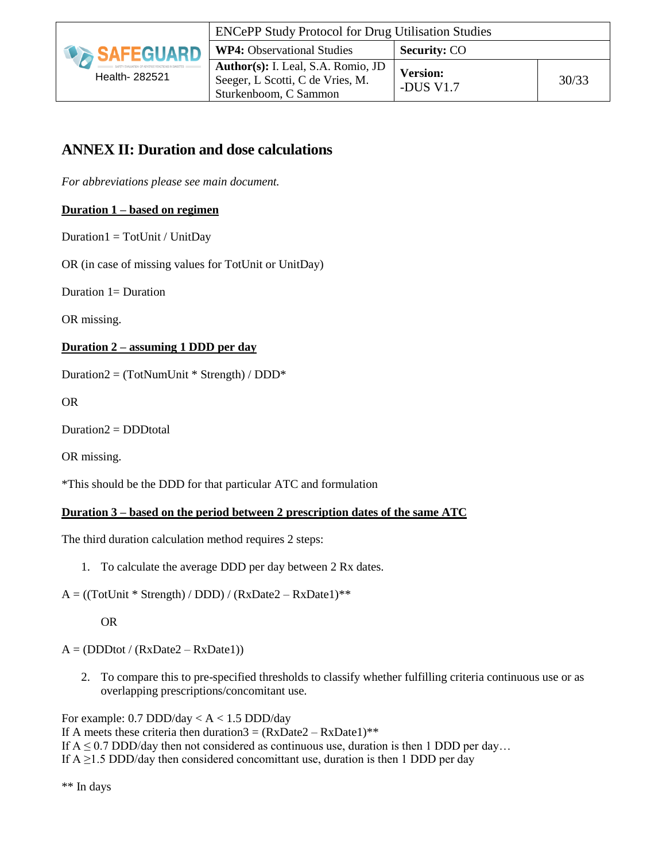

# **ANNEX II: Duration and dose calculations**

*For abbreviations please see main document.* 

#### **Duration 1 – based on regimen**

 $Duration1 = TotUnit / UnitDay$ 

OR (in case of missing values for TotUnit or UnitDay)

Duration 1= Duration

OR missing.

#### **Duration 2 – assuming 1 DDD per day**

Duration2 = (TotNumUnit \* Strength) / DDD\*

OR

Duration2 = DDDtotal

OR missing.

\*This should be the DDD for that particular ATC and formulation

#### **Duration 3 – based on the period between 2 prescription dates of the same ATC**

The third duration calculation method requires 2 steps:

- 1. To calculate the average DDD per day between 2 Rx dates.
- $A = ((TotUnit * Strength) / DDD) / (RxDate2 RxDate1) * *$

OR

 $A = (DDDot / (RxDate2 - RxDate1))$ 

2. To compare this to pre-specified thresholds to classify whether fulfilling criteria continuous use or as overlapping prescriptions/concomitant use.

For example:  $0.7$  DDD/day <  $A < 1.5$  DDD/day If A meets these criteria then duration $3 = (RxDate2 - RxDate1)^{**}$ If  $A \le 0.7$  DDD/day then not considered as continuous use, duration is then 1 DDD per day... If  $A \ge 1.5$  DDD/day then considered concomittant use, duration is then 1 DDD per day

\*\* In days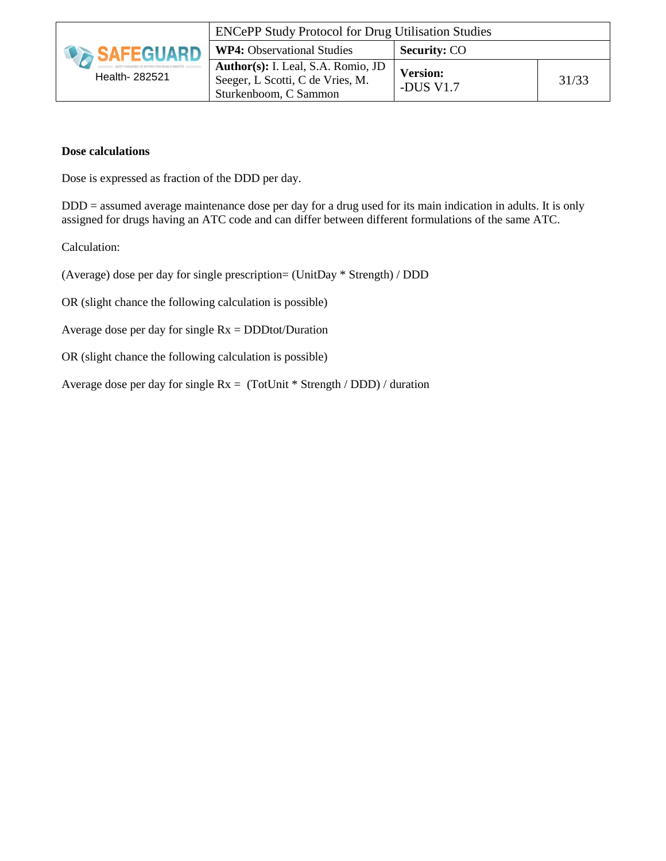|                     | <b>ENCePP Study Protocol for Drug Utilisation Studies</b>                                       |                              |       |
|---------------------|-------------------------------------------------------------------------------------------------|------------------------------|-------|
| <b>IN SAFEGUARD</b> | <b>WP4:</b> Observational Studies<br><b>Security: CO</b>                                        |                              |       |
| Health- 282521      | Author(s): I. Leal, S.A. Romio, JD<br>Seeger, L Scotti, C de Vries, M.<br>Sturkenboom, C Sammon | <b>Version:</b><br>-DUS V1.7 | 31/33 |

#### **Dose calculations**

Dose is expressed as fraction of the DDD per day.

DDD = assumed average maintenance dose per day for a drug used for its main indication in adults. It is only assigned for drugs having an ATC code and can differ between different formulations of the same ATC.

Calculation:

(Average) dose per day for single prescription= (UnitDay \* Strength) / DDD

OR (slight chance the following calculation is possible)

Average dose per day for single  $Rx = DDDtot/Duration$ 

OR (slight chance the following calculation is possible)

Average dose per day for single Rx = (TotUnit \* Strength / DDD) / duration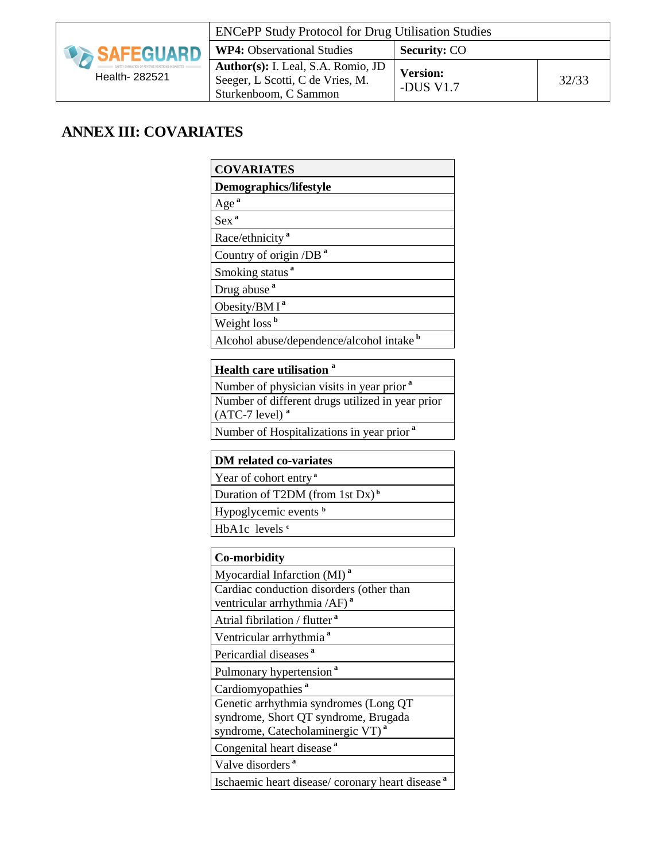

| <b>ENCePP Study Protocol for Drug Utilisation Studies</b>                                       |                              |       |
|-------------------------------------------------------------------------------------------------|------------------------------|-------|
| <b>WP4:</b> Observational Studies                                                               | <b>Security: CO</b>          |       |
| Author(s): I. Leal, S.A. Romio, JD<br>Seeger, L Scotti, C de Vries, M.<br>Sturkenboom, C Sammon | <b>Version:</b><br>-DUS V1.7 | 32/33 |

# **ANNEX III: COVARIATES**

| <b>COVARIATES</b>                                                                                                             |
|-------------------------------------------------------------------------------------------------------------------------------|
| Demographics/lifestyle                                                                                                        |
| Age <sup>a</sup>                                                                                                              |
| Sex <sup>a</sup>                                                                                                              |
| Race/ethnicity <sup>a</sup>                                                                                                   |
| Country of origin /DB <sup>a</sup>                                                                                            |
| Smoking status <sup>a</sup>                                                                                                   |
| Drug abuse <sup>a</sup>                                                                                                       |
| Obesity/BM $I^a$                                                                                                              |
| Weight loss <sup>b</sup>                                                                                                      |
| Alcohol abuse/dependence/alcohol intake b                                                                                     |
| <b>Health care utilisation</b>                                                                                                |
| Number of physician visits in year prior <sup>a</sup>                                                                         |
| Number of different drugs utilized in year prior<br>$(ATC-7$ level) <sup>a</sup>                                              |
| Number of Hospitalizations in year prior <sup>a</sup>                                                                         |
| <b>DM</b> related co-variates                                                                                                 |
| Year of cohort entry <sup>a</sup>                                                                                             |
| Duration of T2DM (from 1st Dx) <sup>b</sup>                                                                                   |
| Hypoglycemic events b                                                                                                         |
| HbA1c levels <sup>e</sup>                                                                                                     |
| <b>Co-morbidity</b>                                                                                                           |
| Myocardial Infarction (MI) <sup>a</sup>                                                                                       |
| Cardiac conduction disorders (other than<br>ventricular arrhythmia /AF) <sup>a</sup>                                          |
| Atrial fibrilation / flutter <sup>a</sup>                                                                                     |
| Ventricular arrhythmia <sup>a</sup>                                                                                           |
| Pericardial diseases <sup>a</sup>                                                                                             |
| Pulmonary hypertension <sup>a</sup>                                                                                           |
| Cardiomyopathies <sup>a</sup>                                                                                                 |
| Genetic arrhythmia syndromes (Long QT<br>syndrome, Short QT syndrome, Brugada<br>syndrome, Catecholaminergic VT) <sup>a</sup> |
| Congenital heart disease <sup>a</sup>                                                                                         |
| Valve disorders <sup>a</sup>                                                                                                  |
| Ischaemic heart disease/ coronary heart disease <sup>a</sup>                                                                  |